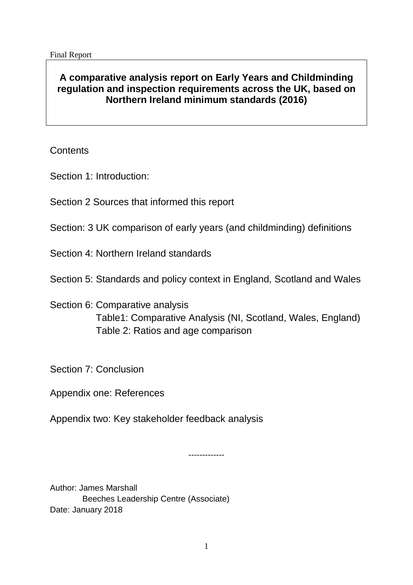# **A comparative analysis report on Early Years and Childminding regulation and inspection requirements across the UK, based on Northern Ireland minimum standards (2016)**

**Contents** 

Section 1: Introduction:

Section 2 Sources that informed this report

Section: 3 UK comparison of early years (and childminding) definitions

Section 4: Northern Ireland standards

Section 5: Standards and policy context in England, Scotland and Wales

# Section 6: Comparative analysis Table1: Comparative Analysis (NI, Scotland, Wales, England) Table 2: Ratios and age comparison

Section 7: Conclusion

Appendix one: References

Appendix two: Key stakeholder feedback analysis

-------------

Author: James Marshall Beeches Leadership Centre (Associate) Date: January 2018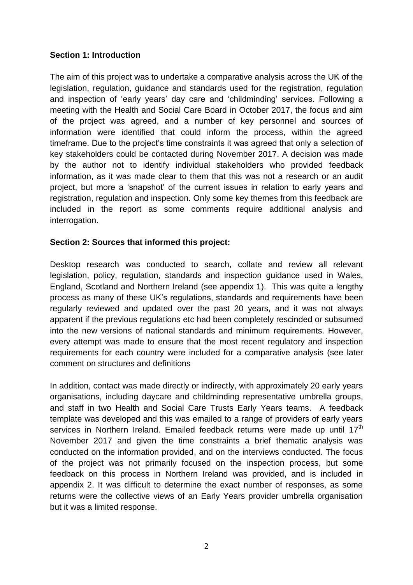### **Section 1: Introduction**

The aim of this project was to undertake a comparative analysis across the UK of the legislation, regulation, guidance and standards used for the registration, regulation and inspection of 'early years' day care and 'childminding' services. Following a meeting with the Health and Social Care Board in October 2017, the focus and aim of the project was agreed, and a number of key personnel and sources of information were identified that could inform the process, within the agreed timeframe. Due to the project's time constraints it was agreed that only a selection of key stakeholders could be contacted during November 2017. A decision was made by the author not to identify individual stakeholders who provided feedback information, as it was made clear to them that this was not a research or an audit project, but more a 'snapshot' of the current issues in relation to early years and registration, regulation and inspection. Only some key themes from this feedback are included in the report as some comments require additional analysis and interrogation.

### **Section 2: Sources that informed this project:**

Desktop research was conducted to search, collate and review all relevant legislation, policy, regulation, standards and inspection guidance used in Wales, England, Scotland and Northern Ireland (see appendix 1). This was quite a lengthy process as many of these UK's regulations, standards and requirements have been regularly reviewed and updated over the past 20 years, and it was not always apparent if the previous regulations etc had been completely rescinded or subsumed into the new versions of national standards and minimum requirements. However, every attempt was made to ensure that the most recent regulatory and inspection requirements for each country were included for a comparative analysis (see later comment on structures and definitions

In addition, contact was made directly or indirectly, with approximately 20 early years organisations, including daycare and childminding representative umbrella groups, and staff in two Health and Social Care Trusts Early Years teams. A feedback template was developed and this was emailed to a range of providers of early years services in Northern Ireland. Emailed feedback returns were made up until 17<sup>th</sup> November 2017 and given the time constraints a brief thematic analysis was conducted on the information provided, and on the interviews conducted. The focus of the project was not primarily focused on the inspection process, but some feedback on this process in Northern Ireland was provided, and is included in appendix 2. It was difficult to determine the exact number of responses, as some returns were the collective views of an Early Years provider umbrella organisation but it was a limited response.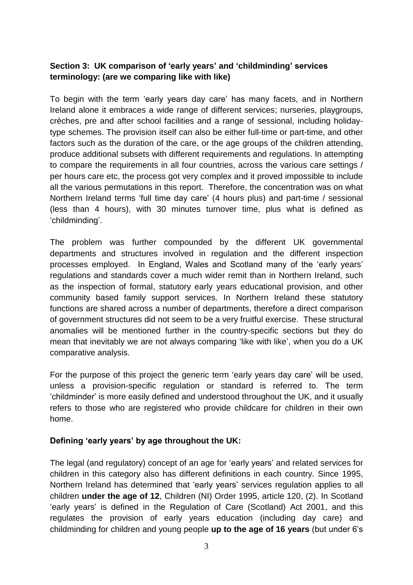## **Section 3: UK comparison of 'early years' and 'childminding' services terminology: (are we comparing like with like)**

To begin with the term 'early years day care' has many facets, and in Northern Ireland alone it embraces a wide range of different services; nurseries, playgroups, crèches, pre and after school facilities and a range of sessional, including holidaytype schemes. The provision itself can also be either full-time or part-time, and other factors such as the duration of the care, or the age groups of the children attending, produce additional subsets with different requirements and regulations. In attempting to compare the requirements in all four countries, across the various care settings / per hours care etc, the process got very complex and it proved impossible to include all the various permutations in this report. Therefore, the concentration was on what Northern Ireland terms 'full time day care' (4 hours plus) and part-time / sessional (less than 4 hours), with 30 minutes turnover time, plus what is defined as 'childminding'.

The problem was further compounded by the different UK governmental departments and structures involved in regulation and the different inspection processes employed. In England, Wales and Scotland many of the 'early years' regulations and standards cover a much wider remit than in Northern Ireland, such as the inspection of formal, statutory early years educational provision, and other community based family support services. In Northern Ireland these statutory functions are shared across a number of departments, therefore a direct comparison of government structures did not seem to be a very fruitful exercise. These structural anomalies will be mentioned further in the country-specific sections but they do mean that inevitably we are not always comparing 'like with like', when you do a UK comparative analysis.

For the purpose of this project the generic term 'early years day care' will be used, unless a provision-specific regulation or standard is referred to. The term 'childminder' is more easily defined and understood throughout the UK, and it usually refers to those who are registered who provide childcare for children in their own home.

### **Defining 'early years' by age throughout the UK:**

The legal (and regulatory) concept of an age for 'early years' and related services for children in this category also has different definitions in each country. Since 1995, Northern Ireland has determined that 'early years' services regulation applies to all children **under the age of 12**, Children (NI) Order 1995, article 120, (2). In Scotland 'early years' is defined in the Regulation of Care (Scotland) Act 2001, and this regulates the provision of early years education (including day care) and childminding for children and young people **up to the age of 16 years** (but under 6's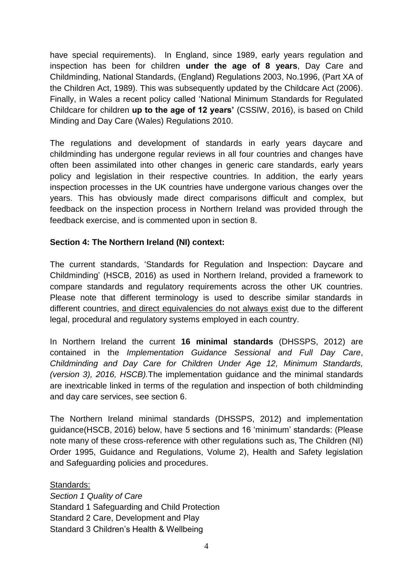have special requirements). In England, since 1989, early years regulation and inspection has been for children **under the age of 8 years**, Day Care and Childminding, National Standards, (England) Regulations 2003, No.1996, (Part XA of the Children Act, 1989). This was subsequently updated by the Childcare Act (2006). Finally, in Wales a recent policy called 'National Minimum Standards for Regulated Childcare for children **up to the age of 12 years'** (CSSIW, 2016), is based on Child Minding and Day Care (Wales) Regulations 2010.

The regulations and development of standards in early years daycare and childminding has undergone regular reviews in all four countries and changes have often been assimilated into other changes in generic care standards, early years policy and legislation in their respective countries. In addition, the early years inspection processes in the UK countries have undergone various changes over the years. This has obviously made direct comparisons difficult and complex, but feedback on the inspection process in Northern Ireland was provided through the feedback exercise, and is commented upon in section 8.

### **Section 4: The Northern Ireland (NI) context:**

The current standards, 'Standards for Regulation and Inspection: Daycare and Childminding' (HSCB, 2016) as used in Northern Ireland, provided a framework to compare standards and regulatory requirements across the other UK countries. Please note that different terminology is used to describe similar standards in different countries, and direct equivalencies do not always exist due to the different legal, procedural and regulatory systems employed in each country.

In Northern Ireland the current **16 minimal standards** (DHSSPS, 2012) are contained in the *Implementation Guidance Sessional and Full Day Care*, *Childminding and Day Care for Children Under Age 12, Minimum Standards, (version 3), 2016, HSCB).*The implementation guidance and the minimal standards are inextricable linked in terms of the regulation and inspection of both childminding and day care services, see section 6.

The Northern Ireland minimal standards (DHSSPS, 2012) and implementation guidance(HSCB, 2016) below, have 5 sections and 16 'minimum' standards: (Please note many of these cross-reference with other regulations such as, The Children (NI) Order 1995, Guidance and Regulations, Volume 2), Health and Safety legislation and Safeguarding policies and procedures.

#### Standards:

*Section 1 Quality of Care*  Standard 1 Safeguarding and Child Protection Standard 2 Care, Development and Play Standard 3 Children's Health & Wellbeing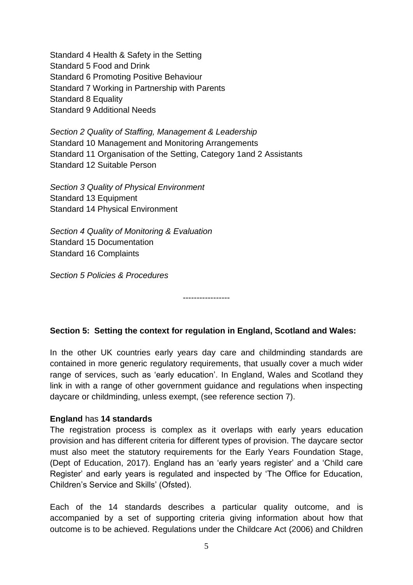Standard 4 Health & Safety in the Setting Standard 5 Food and Drink Standard 6 Promoting Positive Behaviour Standard 7 Working in Partnership with Parents Standard 8 Equality Standard 9 Additional Needs

*Section 2 Quality of Staffing, Management & Leadership*  Standard 10 Management and Monitoring Arrangements Standard 11 Organisation of the Setting, Category 1and 2 Assistants Standard 12 Suitable Person

*Section 3 Quality of Physical Environment*  Standard 13 Equipment Standard 14 Physical Environment

*Section 4 Quality of Monitoring & Evaluation*  Standard 15 Documentation Standard 16 Complaints

*Section 5 Policies & Procedures* 

**Section 5: Setting the context for regulation in England, Scotland and Wales:** 

-----------------

In the other UK countries early years day care and childminding standards are contained in more generic regulatory requirements, that usually cover a much wider range of services, such as 'early education'. In England, Wales and Scotland they link in with a range of other government guidance and regulations when inspecting daycare or childminding, unless exempt, (see reference section 7).

#### **England** has **14 standards**

The registration process is complex as it overlaps with early years education provision and has different criteria for different types of provision. The daycare sector must also meet the statutory requirements for the Early Years Foundation Stage, (Dept of Education, 2017). England has an 'early years register' and a 'Child care Register' and early years is regulated and inspected by 'The Office for Education, Children's Service and Skills' (Ofsted).

Each of the 14 standards describes a particular quality outcome, and is accompanied by a set of supporting criteria giving information about how that outcome is to be achieved. Regulations under the Childcare Act (2006) and Children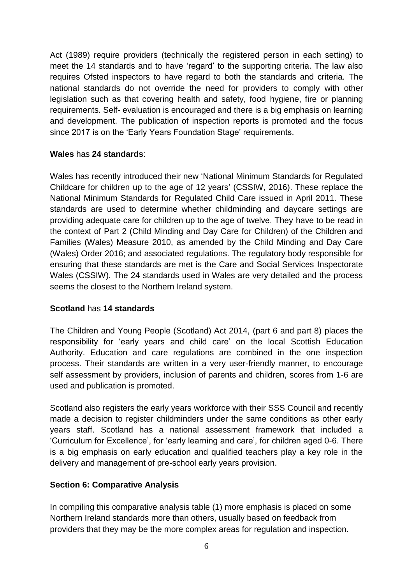Act (1989) require providers (technically the registered person in each setting) to meet the 14 standards and to have 'regard' to the supporting criteria. The law also requires Ofsted inspectors to have regard to both the standards and criteria. The national standards do not override the need for providers to comply with other legislation such as that covering health and safety, food hygiene, fire or planning requirements. Self- evaluation is encouraged and there is a big emphasis on learning and development. The publication of inspection reports is promoted and the focus since 2017 is on the 'Early Years Foundation Stage' requirements.

### **Wales** has **24 standards**:

Wales has recently introduced their new 'National Minimum Standards for Regulated Childcare for children up to the age of 12 years' (CSSIW, 2016). These replace the National Minimum Standards for Regulated Child Care issued in April 2011. These standards are used to determine whether childminding and daycare settings are providing adequate care for children up to the age of twelve. They have to be read in the context of Part 2 (Child Minding and Day Care for Children) of the Children and Families (Wales) Measure 2010, as amended by the Child Minding and Day Care (Wales) Order 2016; and associated regulations. The regulatory body responsible for ensuring that these standards are met is the Care and Social Services Inspectorate Wales (CSSIW). The 24 standards used in Wales are very detailed and the process seems the closest to the Northern Ireland system.

#### **Scotland** has **14 standards**

The Children and Young People (Scotland) Act 2014, (part 6 and part 8) places the responsibility for 'early years and child care' on the local Scottish Education Authority. Education and care regulations are combined in the one inspection process. Their standards are written in a very user-friendly manner, to encourage self assessment by providers, inclusion of parents and children, scores from 1-6 are used and publication is promoted.

Scotland also registers the early years workforce with their SSS Council and recently made a decision to register childminders under the same conditions as other early years staff. Scotland has a national assessment framework that included a 'Curriculum for Excellence', for 'early learning and care', for children aged 0-6. There is a big emphasis on early education and qualified teachers play a key role in the delivery and management of pre-school early years provision.

### **Section 6: Comparative Analysis**

In compiling this comparative analysis table (1) more emphasis is placed on some Northern Ireland standards more than others, usually based on feedback from providers that they may be the more complex areas for regulation and inspection.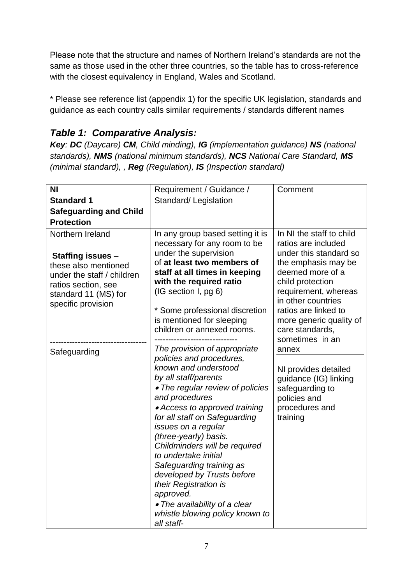Please note that the structure and names of Northern Ireland's standards are not the same as those used in the other three countries, so the table has to cross-reference with the closest equivalency in England, Wales and Scotland.

\* Please see reference list (appendix 1) for the specific UK legislation, standards and guidance as each country calls similar requirements / standards different names

# *Table 1: Comparative Analysis:*

*Key: DC (Daycare) CM, Child minding), IG (implementation guidance) NS (national standards), NMS (national minimum standards), NCS National Care Standard, MS (minimal standard), , Reg (Regulation), IS (Inspection standard)* 

| <b>NI</b><br><b>Standard 1</b><br><b>Safeguarding and Child</b><br><b>Protection</b>                                                                                                    | Requirement / Guidance /<br>Standard/Legislation                                                                                                                                                                                                                                                                                                                                                                                                                                                                                                                                                                                                                                                                                                                                       | Comment                                                                                                                                                                                                                                                                                                                                                                                                    |
|-----------------------------------------------------------------------------------------------------------------------------------------------------------------------------------------|----------------------------------------------------------------------------------------------------------------------------------------------------------------------------------------------------------------------------------------------------------------------------------------------------------------------------------------------------------------------------------------------------------------------------------------------------------------------------------------------------------------------------------------------------------------------------------------------------------------------------------------------------------------------------------------------------------------------------------------------------------------------------------------|------------------------------------------------------------------------------------------------------------------------------------------------------------------------------------------------------------------------------------------------------------------------------------------------------------------------------------------------------------------------------------------------------------|
| Northern Ireland<br><b>Staffing issues -</b><br>these also mentioned<br>under the staff / children<br>ratios section, see<br>standard 11 (MS) for<br>specific provision<br>Safeguarding | In any group based setting it is<br>necessary for any room to be<br>under the supervision<br>of at least two members of<br>staff at all times in keeping<br>with the required ratio<br>(IG section I, pg 6)<br>* Some professional discretion<br>is mentioned for sleeping<br>children or annexed rooms.<br>The provision of appropriate<br>policies and procedures,<br>known and understood<br>by all staff/parents<br>• The regular review of policies<br>and procedures<br>• Access to approved training<br>for all staff on Safeguarding<br>issues on a regular<br>(three-yearly) basis.<br>Childminders will be required<br>to undertake initial<br>Safeguarding training as<br>developed by Trusts before<br>their Registration is<br>approved.<br>• The availability of a clear | In NI the staff to child<br>ratios are included<br>under this standard so<br>the emphasis may be<br>deemed more of a<br>child protection<br>requirement, whereas<br>in other countries<br>ratios are linked to<br>more generic quality of<br>care standards,<br>sometimes in an<br>annex<br>NI provides detailed<br>guidance (IG) linking<br>safeguarding to<br>policies and<br>procedures and<br>training |
|                                                                                                                                                                                         | whistle blowing policy known to<br>all staff-                                                                                                                                                                                                                                                                                                                                                                                                                                                                                                                                                                                                                                                                                                                                          |                                                                                                                                                                                                                                                                                                                                                                                                            |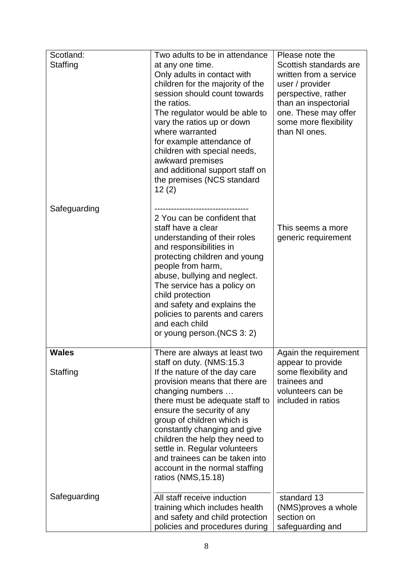| Scotland:                | Two adults to be in attendance                                                                                                                                                                                                                                                                                                                                                                                                                 | Please note the                                                                                                                                                                      |
|--------------------------|------------------------------------------------------------------------------------------------------------------------------------------------------------------------------------------------------------------------------------------------------------------------------------------------------------------------------------------------------------------------------------------------------------------------------------------------|--------------------------------------------------------------------------------------------------------------------------------------------------------------------------------------|
| Staffing                 | at any one time.<br>Only adults in contact with<br>children for the majority of the<br>session should count towards<br>the ratios.<br>The regulator would be able to<br>vary the ratios up or down<br>where warranted<br>for example attendance of<br>children with special needs,<br>awkward premises<br>and additional support staff on<br>the premises (NCS standard<br>12(2)                                                               | Scottish standards are<br>written from a service<br>user / provider<br>perspective, rather<br>than an inspectorial<br>one. These may offer<br>some more flexibility<br>than NI ones. |
| Safeguarding             | 2 You can be confident that<br>staff have a clear<br>understanding of their roles<br>and responsibilities in<br>protecting children and young<br>people from harm,<br>abuse, bullying and neglect.<br>The service has a policy on<br>child protection<br>and safety and explains the<br>policies to parents and carers<br>and each child<br>or young person.(NCS 3: 2)                                                                         | This seems a more<br>generic requirement                                                                                                                                             |
| <b>Wales</b><br>Staffing | There are always at least two<br>staff on duty. (NMS:15.3)<br>If the nature of the day care<br>provision means that there are<br>changing numbers<br>there must be adequate staff to<br>ensure the security of any<br>group of children which is<br>constantly changing and give<br>children the help they need to<br>settle in. Regular volunteers<br>and trainees can be taken into<br>account in the normal staffing<br>ratios (NMS, 15.18) | Again the requirement<br>appear to provide<br>some flexibility and<br>trainees and<br>volunteers can be<br>included in ratios                                                        |
| Safeguarding             | All staff receive induction<br>training which includes health<br>and safety and child protection<br>policies and procedures during                                                                                                                                                                                                                                                                                                             | standard 13<br>(NMS)proves a whole<br>section on<br>safeguarding and                                                                                                                 |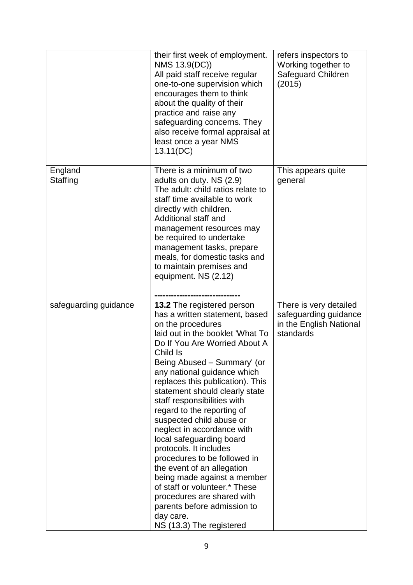|                       | their first week of employment.<br>NMS 13.9(DC))<br>All paid staff receive regular<br>one-to-one supervision which<br>encourages them to think<br>about the quality of their<br>practice and raise any<br>safeguarding concerns. They<br>also receive formal appraisal at<br>least once a year NMS<br>13.11(DC)                                                                                                                                                                                                                                                                                                                                                                                                                | refers inspectors to<br>Working together to<br>Safeguard Children<br>(2015)             |
|-----------------------|--------------------------------------------------------------------------------------------------------------------------------------------------------------------------------------------------------------------------------------------------------------------------------------------------------------------------------------------------------------------------------------------------------------------------------------------------------------------------------------------------------------------------------------------------------------------------------------------------------------------------------------------------------------------------------------------------------------------------------|-----------------------------------------------------------------------------------------|
| England<br>Staffing   | There is a minimum of two<br>adults on duty. NS (2.9)<br>The adult: child ratios relate to<br>staff time available to work<br>directly with children.<br>Additional staff and<br>management resources may<br>be required to undertake<br>management tasks, prepare<br>meals, for domestic tasks and<br>to maintain premises and<br>equipment. NS (2.12)                                                                                                                                                                                                                                                                                                                                                                        | This appears quite<br>general                                                           |
| safeguarding guidance | <b>13.2</b> The registered person<br>has a written statement, based<br>on the procedures<br>laid out in the booklet 'What To<br>Do If You Are Worried About A<br>Child Is<br>Being Abused - Summary' (or<br>any national guidance which<br>replaces this publication). This<br>statement should clearly state<br>staff responsibilities with<br>regard to the reporting of<br>suspected child abuse or<br>neglect in accordance with<br>local safeguarding board<br>protocols. It includes<br>procedures to be followed in<br>the event of an allegation<br>being made against a member<br>of staff or volunteer.* These<br>procedures are shared with<br>parents before admission to<br>day care.<br>NS (13.3) The registered | There is very detailed<br>safeguarding guidance<br>in the English National<br>standards |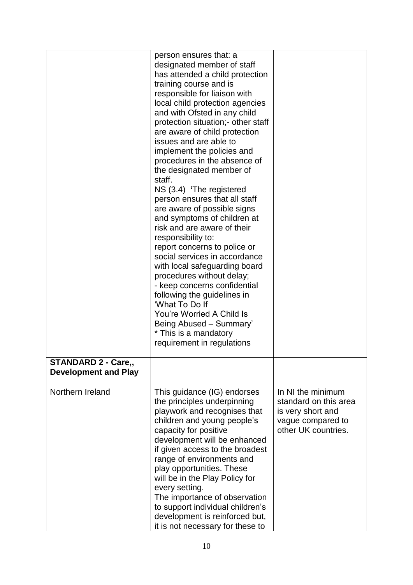|                             | person ensures that: a<br>designated member of staff<br>has attended a child protection<br>training course and is<br>responsible for liaison with<br>local child protection agencies<br>and with Ofsted in any child<br>protection situation; - other staff<br>are aware of child protection<br>issues and are able to<br>implement the policies and<br>procedures in the absence of<br>the designated member of<br>staff.<br>NS (3.4) 'The registered<br>person ensures that all staff<br>are aware of possible signs<br>and symptoms of children at<br>risk and are aware of their<br>responsibility to:<br>report concerns to police or<br>social services in accordance<br>with local safeguarding board<br>procedures without delay;<br>- keep concerns confidential<br>following the guidelines in<br>'What To Do If<br>You're Worried A Child Is<br>Being Abused - Summary'<br>* This is a mandatory<br>requirement in regulations |                                                                                                             |
|-----------------------------|-------------------------------------------------------------------------------------------------------------------------------------------------------------------------------------------------------------------------------------------------------------------------------------------------------------------------------------------------------------------------------------------------------------------------------------------------------------------------------------------------------------------------------------------------------------------------------------------------------------------------------------------------------------------------------------------------------------------------------------------------------------------------------------------------------------------------------------------------------------------------------------------------------------------------------------------|-------------------------------------------------------------------------------------------------------------|
| <b>STANDARD 2 - Care,,</b>  |                                                                                                                                                                                                                                                                                                                                                                                                                                                                                                                                                                                                                                                                                                                                                                                                                                                                                                                                           |                                                                                                             |
| <b>Development and Play</b> |                                                                                                                                                                                                                                                                                                                                                                                                                                                                                                                                                                                                                                                                                                                                                                                                                                                                                                                                           |                                                                                                             |
| Northern Ireland            | This guidance (IG) endorses<br>the principles underpinning<br>playwork and recognises that<br>children and young people's<br>capacity for positive<br>development will be enhanced<br>if given access to the broadest<br>range of environments and<br>play opportunities. These<br>will be in the Play Policy for<br>every setting.<br>The importance of observation<br>to support individual children's<br>development is reinforced but,<br>it is not necessary for these to                                                                                                                                                                                                                                                                                                                                                                                                                                                            | In NI the minimum<br>standard on this area<br>is very short and<br>vague compared to<br>other UK countries. |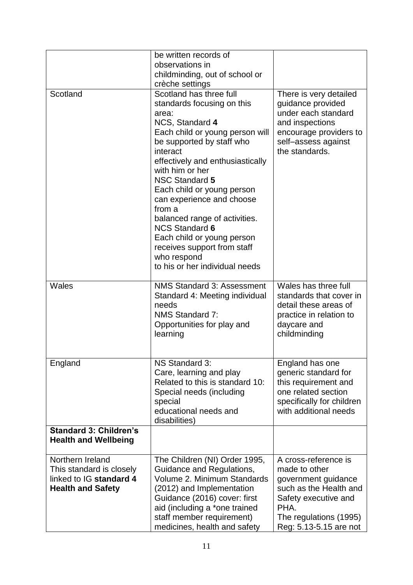|                               | be written records of                                     |                                                    |
|-------------------------------|-----------------------------------------------------------|----------------------------------------------------|
|                               | observations in                                           |                                                    |
|                               | childminding, out of school or                            |                                                    |
| Scotland                      | crèche settings<br>Scotland has three full                | There is very detailed                             |
|                               | standards focusing on this                                | guidance provided                                  |
|                               | area:                                                     | under each standard                                |
|                               | NCS, Standard 4                                           | and inspections                                    |
|                               | Each child or young person will                           | encourage providers to                             |
|                               | be supported by staff who                                 | self-assess against                                |
|                               | interact                                                  | the standards.                                     |
|                               | effectively and enthusiastically<br>with him or her       |                                                    |
|                               | <b>NSC Standard 5</b>                                     |                                                    |
|                               | Each child or young person                                |                                                    |
|                               | can experience and choose                                 |                                                    |
|                               | from a                                                    |                                                    |
|                               | balanced range of activities.<br><b>NCS Standard 6</b>    |                                                    |
|                               | Each child or young person                                |                                                    |
|                               | receives support from staff                               |                                                    |
|                               | who respond                                               |                                                    |
|                               | to his or her individual needs                            |                                                    |
| Wales                         | <b>NMS Standard 3: Assessment</b>                         | Wales has three full                               |
|                               | Standard 4: Meeting individual                            | standards that cover in                            |
|                               | needs                                                     | detail these areas of                              |
|                               | NMS Standard 7:<br>Opportunities for play and             | practice in relation to<br>daycare and             |
|                               | learning                                                  | childminding                                       |
|                               |                                                           |                                                    |
| England                       | NS Standard 3:                                            | England has one                                    |
|                               | Care, learning and play                                   | generic standard for                               |
|                               | Related to this is standard 10:                           | this requirement and                               |
|                               | Special needs (including                                  | one related section                                |
|                               | special<br>educational needs and                          | specifically for children<br>with additional needs |
|                               | disabilities)                                             |                                                    |
| <b>Standard 3: Children's</b> |                                                           |                                                    |
| <b>Health and Wellbeing</b>   |                                                           |                                                    |
| Northern Ireland              | The Children (NI) Order 1995,                             | A cross-reference is                               |
| This standard is closely      | Guidance and Regulations,                                 | made to other                                      |
| linked to IG standard 4       | Volume 2. Minimum Standards                               | government guidance<br>such as the Health and      |
| <b>Health and Safety</b>      | (2012) and Implementation<br>Guidance (2016) cover: first | Safety executive and                               |
|                               | aid (including a *one trained                             | PHA.                                               |
|                               | staff member requirement)                                 | The regulations (1995)                             |
|                               | medicines, health and safety                              | Reg: 5.13-5.15 are not                             |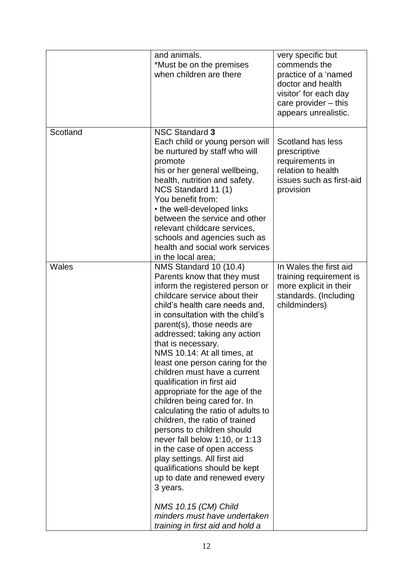|          | and animals.<br>*Must be on the premises<br>when children are there                                                                                                                                                                                                                                                                                                                                                                                                                                                                                                                                                                                                                                                                                                                                                                                                         | very specific but<br>commends the<br>practice of a 'named<br>doctor and health<br>visitor' for each day<br>care provider $-$ this<br>appears unrealistic. |
|----------|-----------------------------------------------------------------------------------------------------------------------------------------------------------------------------------------------------------------------------------------------------------------------------------------------------------------------------------------------------------------------------------------------------------------------------------------------------------------------------------------------------------------------------------------------------------------------------------------------------------------------------------------------------------------------------------------------------------------------------------------------------------------------------------------------------------------------------------------------------------------------------|-----------------------------------------------------------------------------------------------------------------------------------------------------------|
| Scotland | <b>NSC Standard 3</b><br>Each child or young person will<br>be nurtured by staff who will<br>promote<br>his or her general wellbeing,<br>health, nutrition and safety.<br>NCS Standard 11 (1)<br>You benefit from:<br>• the well-developed links<br>between the service and other<br>relevant childcare services,<br>schools and agencies such as<br>health and social work services<br>in the local area;                                                                                                                                                                                                                                                                                                                                                                                                                                                                  | Scotland has less<br>prescriptive<br>requirements in<br>relation to health<br>issues such as first-aid<br>provision                                       |
| Wales    | NMS Standard 10 (10.4)<br>Parents know that they must<br>inform the registered person or<br>childcare service about their<br>child's health care needs and,<br>in consultation with the child's<br>parent(s), those needs are<br>addressed; taking any action<br>that is necessary.<br>NMS 10.14: At all times, at<br>least one person caring for the<br>children must have a current<br>qualification in first aid<br>appropriate for the age of the<br>children being cared for. In<br>calculating the ratio of adults to<br>children, the ratio of trained<br>persons to children should<br>never fall below 1:10, or 1:13<br>in the case of open access<br>play settings. All first aid<br>qualifications should be kept<br>up to date and renewed every<br>3 years.<br><b>NMS 10.15 (CM) Child</b><br>minders must have undertaken<br>training in first aid and hold a | In Wales the first aid<br>training requirement is<br>more explicit in their<br>standards. (Including<br>childminders)                                     |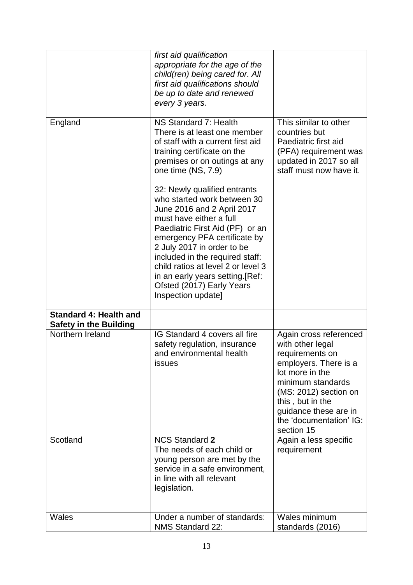|                                                                | first aid qualification<br>appropriate for the age of the<br>child(ren) being cared for. All<br>first aid qualifications should<br>be up to date and renewed<br>every 3 years.                                                                                                                                                                                                        |                                                                                                                                                                                                                                               |
|----------------------------------------------------------------|---------------------------------------------------------------------------------------------------------------------------------------------------------------------------------------------------------------------------------------------------------------------------------------------------------------------------------------------------------------------------------------|-----------------------------------------------------------------------------------------------------------------------------------------------------------------------------------------------------------------------------------------------|
| England                                                        | NS Standard 7: Health<br>There is at least one member<br>of staff with a current first aid<br>training certificate on the<br>premises or on outings at any<br>one time (NS, 7.9)                                                                                                                                                                                                      | This similar to other<br>countries but<br>Paediatric first aid<br>(PFA) requirement was<br>updated in 2017 so all<br>staff must now have it.                                                                                                  |
|                                                                | 32: Newly qualified entrants<br>who started work between 30<br>June 2016 and 2 April 2017<br>must have either a full<br>Paediatric First Aid (PF) or an<br>emergency PFA certificate by<br>2 July 2017 in order to be<br>included in the required staff:<br>child ratios at level 2 or level 3<br>in an early years setting. [Ref:<br>Ofsted (2017) Early Years<br>Inspection update] |                                                                                                                                                                                                                                               |
| <b>Standard 4: Health and</b><br><b>Safety in the Building</b> |                                                                                                                                                                                                                                                                                                                                                                                       |                                                                                                                                                                                                                                               |
| Northern Ireland                                               | IG Standard 4 covers all fire<br>safety regulation, insurance<br>and environmental health<br><b>issues</b>                                                                                                                                                                                                                                                                            | Again cross referenced<br>with other legal<br>requirements on<br>employers. There is a<br>lot more in the<br>minimum standards<br>(MS: 2012) section on<br>this, but in the<br>guidance these are in<br>the 'documentation' IG:<br>section 15 |
| Scotland                                                       | <b>NCS Standard 2</b><br>The needs of each child or<br>young person are met by the<br>service in a safe environment,<br>in line with all relevant<br>legislation.                                                                                                                                                                                                                     | Again a less specific<br>requirement                                                                                                                                                                                                          |
| Wales                                                          | Under a number of standards:<br>NMS Standard 22:                                                                                                                                                                                                                                                                                                                                      | Wales minimum<br>standards (2016)                                                                                                                                                                                                             |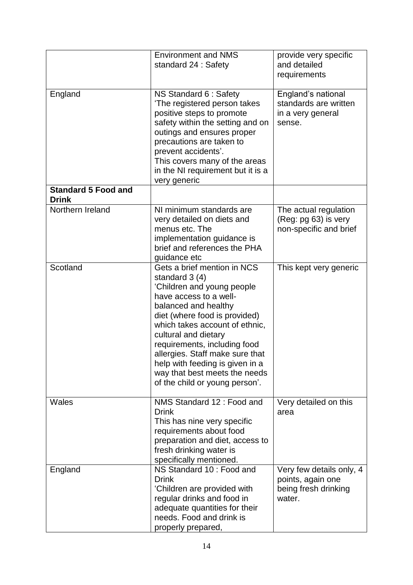|                                            | <b>Environment and NMS</b><br>standard 24 : Safety                                                                                                                                                                                                                                                                                                                                                 | provide very specific<br>and detailed<br>requirements                           |
|--------------------------------------------|----------------------------------------------------------------------------------------------------------------------------------------------------------------------------------------------------------------------------------------------------------------------------------------------------------------------------------------------------------------------------------------------------|---------------------------------------------------------------------------------|
| England                                    | NS Standard 6 : Safety<br>'The registered person takes<br>positive steps to promote<br>safety within the setting and on<br>outings and ensures proper<br>precautions are taken to<br>prevent accidents'.<br>This covers many of the areas<br>in the NI requirement but it is a<br>very generic                                                                                                     | England's national<br>standards are written<br>in a very general<br>sense.      |
| <b>Standard 5 Food and</b><br><b>Drink</b> |                                                                                                                                                                                                                                                                                                                                                                                                    |                                                                                 |
| Northern Ireland                           | NI minimum standards are<br>very detailed on diets and<br>menus etc. The<br>implementation guidance is<br>brief and references the PHA<br>guidance etc                                                                                                                                                                                                                                             | The actual regulation<br>(Reg: pg 63) is very<br>non-specific and brief         |
| Scotland                                   | Gets a brief mention in NCS<br>standard $3(4)$<br>'Children and young people<br>have access to a well-<br>balanced and healthy<br>diet (where food is provided)<br>which takes account of ethnic,<br>cultural and dietary<br>requirements, including food<br>allergies. Staff make sure that<br>help with feeding is given in a<br>way that best meets the needs<br>of the child or young person'. | This kept very generic                                                          |
| <b>Wales</b>                               | NMS Standard 12: Food and<br><b>Drink</b><br>This has nine very specific<br>requirements about food<br>preparation and diet, access to<br>fresh drinking water is<br>specifically mentioned.                                                                                                                                                                                                       | Very detailed on this<br>area                                                   |
| England                                    | NS Standard 10 : Food and<br><b>Drink</b><br>'Children are provided with<br>regular drinks and food in<br>adequate quantities for their<br>needs. Food and drink is<br>properly prepared,                                                                                                                                                                                                          | Very few details only, 4<br>points, again one<br>being fresh drinking<br>water. |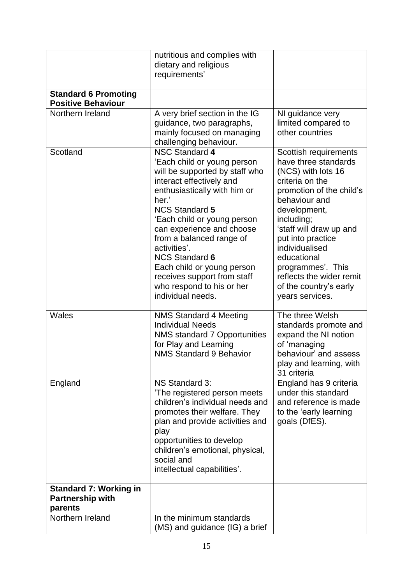|                                                                     | nutritious and complies with<br>dietary and religious<br>requirements'                                                                                                                                                                                                                                                                                                                                                               |                                                                                                                                                                                                                                                                                                                                                  |
|---------------------------------------------------------------------|--------------------------------------------------------------------------------------------------------------------------------------------------------------------------------------------------------------------------------------------------------------------------------------------------------------------------------------------------------------------------------------------------------------------------------------|--------------------------------------------------------------------------------------------------------------------------------------------------------------------------------------------------------------------------------------------------------------------------------------------------------------------------------------------------|
| <b>Standard 6 Promoting</b><br><b>Positive Behaviour</b>            |                                                                                                                                                                                                                                                                                                                                                                                                                                      |                                                                                                                                                                                                                                                                                                                                                  |
| Northern Ireland                                                    | A very brief section in the IG<br>guidance, two paragraphs,<br>mainly focused on managing<br>challenging behaviour.                                                                                                                                                                                                                                                                                                                  | NI guidance very<br>limited compared to<br>other countries                                                                                                                                                                                                                                                                                       |
| Scotland                                                            | <b>NSC Standard 4</b><br>'Each child or young person<br>will be supported by staff who<br>interact effectively and<br>enthusiastically with him or<br>her.'<br><b>NCS Standard 5</b><br>'Each child or young person<br>can experience and choose<br>from a balanced range of<br>activities'.<br><b>NCS Standard 6</b><br>Each child or young person<br>receives support from staff<br>who respond to his or her<br>individual needs. | Scottish requirements<br>have three standards<br>(NCS) with lots 16<br>criteria on the<br>promotion of the child's<br>behaviour and<br>development,<br>including;<br>'staff will draw up and<br>put into practice<br>individualised<br>educational<br>programmes'. This<br>reflects the wider remit<br>of the country's early<br>years services. |
| <b>Wales</b>                                                        | <b>NMS Standard 4 Meeting</b><br><b>Individual Needs</b><br>NMS standard 7 Opportunities<br>for Play and Learning<br><b>NMS Standard 9 Behavior</b>                                                                                                                                                                                                                                                                                  | The three Welsh<br>standards promote and<br>expand the NI notion<br>of 'managing<br>behaviour' and assess<br>play and learning, with<br>31 criteria                                                                                                                                                                                              |
| England                                                             | NS Standard 3:<br>'The registered person meets<br>children's individual needs and<br>promotes their welfare. They<br>plan and provide activities and<br>play<br>opportunities to develop<br>children's emotional, physical,<br>social and<br>intellectual capabilities'.                                                                                                                                                             | England has 9 criteria<br>under this standard<br>and reference is made<br>to the 'early learning<br>goals (DfES).                                                                                                                                                                                                                                |
| <b>Standard 7: Working in</b><br><b>Partnership with</b><br>parents |                                                                                                                                                                                                                                                                                                                                                                                                                                      |                                                                                                                                                                                                                                                                                                                                                  |
| Northern Ireland                                                    | In the minimum standards<br>(MS) and guidance (IG) a brief                                                                                                                                                                                                                                                                                                                                                                           |                                                                                                                                                                                                                                                                                                                                                  |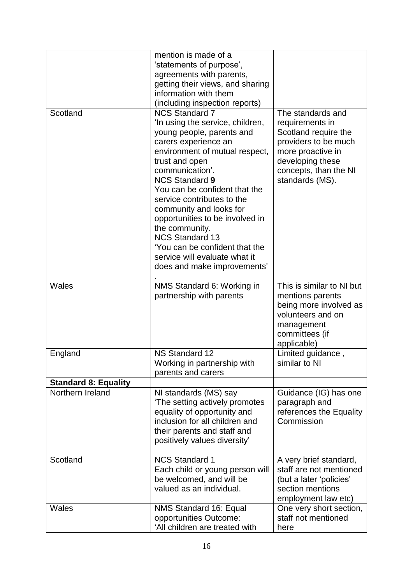|                             | mention is made of a<br>'statements of purpose',<br>agreements with parents,<br>getting their views, and sharing<br>information with them<br>(including inspection reports)                                                                                                                                                                                                                                                                                                               |                                                                                                                                                                           |
|-----------------------------|-------------------------------------------------------------------------------------------------------------------------------------------------------------------------------------------------------------------------------------------------------------------------------------------------------------------------------------------------------------------------------------------------------------------------------------------------------------------------------------------|---------------------------------------------------------------------------------------------------------------------------------------------------------------------------|
| Scotland                    | <b>NCS Standard 7</b><br>'In using the service, children,<br>young people, parents and<br>carers experience an<br>environment of mutual respect,<br>trust and open<br>communication'.<br><b>NCS Standard 9</b><br>You can be confident that the<br>service contributes to the<br>community and looks for<br>opportunities to be involved in<br>the community.<br><b>NCS Standard 13</b><br>'You can be confident that the<br>service will evaluate what it<br>does and make improvements' | The standards and<br>requirements in<br>Scotland require the<br>providers to be much<br>more proactive in<br>developing these<br>concepts, than the NI<br>standards (MS). |
| Wales                       | NMS Standard 6: Working in<br>partnership with parents                                                                                                                                                                                                                                                                                                                                                                                                                                    | This is similar to NI but<br>mentions parents<br>being more involved as<br>volunteers and on<br>management<br>committees (if<br>applicable)                               |
| England                     | <b>NS Standard 12</b><br>Working in partnership with<br>parents and carers                                                                                                                                                                                                                                                                                                                                                                                                                | Limited guidance,<br>similar to NI                                                                                                                                        |
| <b>Standard 8: Equality</b> |                                                                                                                                                                                                                                                                                                                                                                                                                                                                                           |                                                                                                                                                                           |
| Northern Ireland            | NI standards (MS) say<br>'The setting actively promotes<br>equality of opportunity and<br>inclusion for all children and<br>their parents and staff and<br>positively values diversity'                                                                                                                                                                                                                                                                                                   | Guidance (IG) has one<br>paragraph and<br>references the Equality<br>Commission                                                                                           |
| Scotland                    | <b>NCS Standard 1</b><br>Each child or young person will<br>be welcomed, and will be<br>valued as an individual.                                                                                                                                                                                                                                                                                                                                                                          | A very brief standard,<br>staff are not mentioned<br>(but a later 'policies'<br>section mentions<br>employment law etc)                                                   |
| Wales                       | NMS Standard 16: Equal<br>opportunities Outcome:<br>'All children are treated with                                                                                                                                                                                                                                                                                                                                                                                                        | One very short section,<br>staff not mentioned<br>here                                                                                                                    |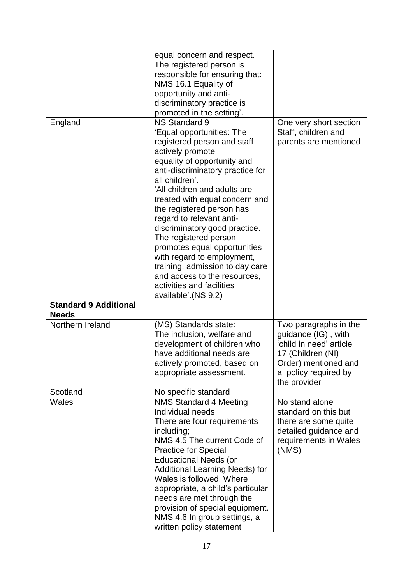|                                              | equal concern and respect.<br>The registered person is<br>responsible for ensuring that:<br>NMS 16.1 Equality of<br>opportunity and anti-<br>discriminatory practice is<br>promoted in the setting'.                                                                                                                                                                                                                                                                                                                                                         |                                                                                                                                                              |
|----------------------------------------------|--------------------------------------------------------------------------------------------------------------------------------------------------------------------------------------------------------------------------------------------------------------------------------------------------------------------------------------------------------------------------------------------------------------------------------------------------------------------------------------------------------------------------------------------------------------|--------------------------------------------------------------------------------------------------------------------------------------------------------------|
| England                                      | NS Standard 9<br>'Equal opportunities: The<br>registered person and staff<br>actively promote<br>equality of opportunity and<br>anti-discriminatory practice for<br>all children'.<br>'All children and adults are<br>treated with equal concern and<br>the registered person has<br>regard to relevant anti-<br>discriminatory good practice.<br>The registered person<br>promotes equal opportunities<br>with regard to employment,<br>training, admission to day care<br>and access to the resources,<br>activities and facilities<br>available'.(NS 9.2) | One very short section<br>Staff, children and<br>parents are mentioned                                                                                       |
| <b>Standard 9 Additional</b><br><b>Needs</b> |                                                                                                                                                                                                                                                                                                                                                                                                                                                                                                                                                              |                                                                                                                                                              |
| Northern Ireland                             | (MS) Standards state:<br>The inclusion, welfare and<br>development of children who<br>have additional needs are<br>actively promoted, based on<br>appropriate assessment.                                                                                                                                                                                                                                                                                                                                                                                    | Two paragraphs in the<br>guidance (IG), with<br>'child in need' article<br>17 (Children (NI)<br>Order) mentioned and<br>a policy required by<br>the provider |
| Scotland                                     | No specific standard                                                                                                                                                                                                                                                                                                                                                                                                                                                                                                                                         |                                                                                                                                                              |
| Wales                                        | <b>NMS Standard 4 Meeting</b><br>Individual needs<br>There are four requirements<br>including;<br>NMS 4.5 The current Code of<br><b>Practice for Special</b><br><b>Educational Needs (or</b><br>Additional Learning Needs) for<br>Wales is followed. Where<br>appropriate, a child's particular<br>needs are met through the<br>provision of special equipment.<br>NMS 4.6 In group settings, a<br>written policy statement                                                                                                                                  | No stand alone<br>standard on this but<br>there are some quite<br>detailed guidance and<br>requirements in Wales<br>(NMS)                                    |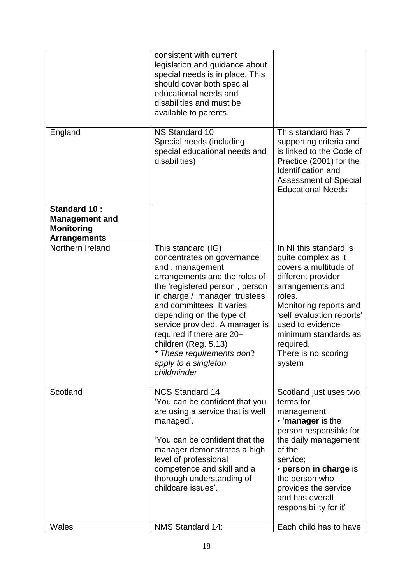|                                                                                   | consistent with current<br>legislation and guidance about<br>special needs is in place. This<br>should cover both special<br>educational needs and<br>disabilities and must be<br>available to parents.                                                                                                                                                                                     |                                                                                                                                                                                                                                                                             |
|-----------------------------------------------------------------------------------|---------------------------------------------------------------------------------------------------------------------------------------------------------------------------------------------------------------------------------------------------------------------------------------------------------------------------------------------------------------------------------------------|-----------------------------------------------------------------------------------------------------------------------------------------------------------------------------------------------------------------------------------------------------------------------------|
| England                                                                           | <b>NS Standard 10</b><br>Special needs (including<br>special educational needs and<br>disabilities)                                                                                                                                                                                                                                                                                         | This standard has 7<br>supporting criteria and<br>is linked to the Code of<br>Practice (2001) for the<br>Identification and<br><b>Assessment of Special</b><br><b>Educational Needs</b>                                                                                     |
| Standard 10:<br><b>Management and</b><br><b>Monitoring</b><br><b>Arrangements</b> |                                                                                                                                                                                                                                                                                                                                                                                             |                                                                                                                                                                                                                                                                             |
| Northern Ireland                                                                  | This standard (IG)<br>concentrates on governance<br>and, management<br>arrangements and the roles of<br>the 'registered person, person<br>in charge / manager, trustees<br>and committees It varies<br>depending on the type of<br>service provided. A manager is<br>required if there are 20+<br>children (Reg. 5.13)<br>* These requirements don't<br>apply to a singleton<br>childminder | In NI this standard is<br>quite complex as it<br>covers a multitude of<br>different provider<br>arrangements and<br>roles.<br>Monitoring reports and<br>'self evaluation reports'<br>used to evidence<br>minimum standards as<br>required.<br>There is no scoring<br>system |
| Scotland                                                                          | <b>NCS Standard 14</b><br>'You can be confident that you<br>are using a service that is well<br>managed'.<br>'You can be confident that the<br>manager demonstrates a high<br>level of professional<br>competence and skill and a<br>thorough understanding of<br>childcare issues'.                                                                                                        | Scotland just uses two<br>terms for<br>management:<br>• 'manager is the<br>person responsible for<br>the daily management<br>of the<br>service;<br>• person in charge is<br>the person who<br>provides the service<br>and has overall<br>responsibility for it'             |
| Wales                                                                             | <b>NMS Standard 14:</b>                                                                                                                                                                                                                                                                                                                                                                     | Each child has to have                                                                                                                                                                                                                                                      |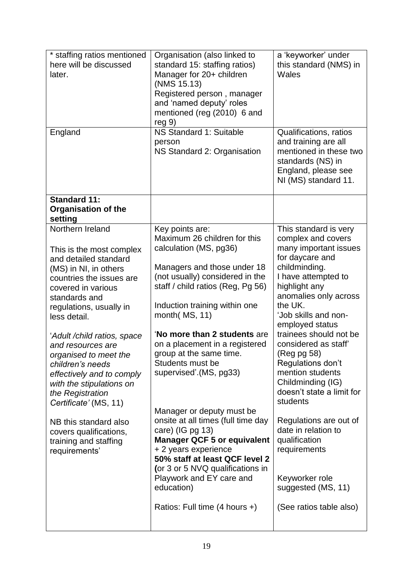| * staffing ratios mentioned<br>here will be discussed<br>later.<br>England                                                                                                                                                                                                                                                                                                                                                                                                                                      | Organisation (also linked to<br>standard 15: staffing ratios)<br>Manager for 20+ children<br>(NMS 15.13)<br>Registered person, manager<br>and 'named deputy' roles<br>mentioned (reg (2010) 6 and<br>reg <sub>9</sub><br>NS Standard 1: Suitable                                                                                                                                                                                                                                                                                                                                                                                                                                    | a 'keyworker' under<br>this standard (NMS) in<br>Wales                                                                                                                                                                                                                                                                                                                                                                                                                                                                                                      |
|-----------------------------------------------------------------------------------------------------------------------------------------------------------------------------------------------------------------------------------------------------------------------------------------------------------------------------------------------------------------------------------------------------------------------------------------------------------------------------------------------------------------|-------------------------------------------------------------------------------------------------------------------------------------------------------------------------------------------------------------------------------------------------------------------------------------------------------------------------------------------------------------------------------------------------------------------------------------------------------------------------------------------------------------------------------------------------------------------------------------------------------------------------------------------------------------------------------------|-------------------------------------------------------------------------------------------------------------------------------------------------------------------------------------------------------------------------------------------------------------------------------------------------------------------------------------------------------------------------------------------------------------------------------------------------------------------------------------------------------------------------------------------------------------|
|                                                                                                                                                                                                                                                                                                                                                                                                                                                                                                                 | person<br>NS Standard 2: Organisation                                                                                                                                                                                                                                                                                                                                                                                                                                                                                                                                                                                                                                               | Qualifications, ratios<br>and training are all<br>mentioned in these two<br>standards (NS) in<br>England, please see<br>NI (MS) standard 11.                                                                                                                                                                                                                                                                                                                                                                                                                |
| <b>Standard 11:</b><br><b>Organisation of the</b><br>setting                                                                                                                                                                                                                                                                                                                                                                                                                                                    |                                                                                                                                                                                                                                                                                                                                                                                                                                                                                                                                                                                                                                                                                     |                                                                                                                                                                                                                                                                                                                                                                                                                                                                                                                                                             |
| Northern Ireland<br>This is the most complex<br>and detailed standard<br>(MS) in NI, in others<br>countries the issues are<br>covered in various<br>standards and<br>regulations, usually in<br>less detail.<br>'Adult/child ratios, space<br>and resources are<br>organised to meet the<br>children's needs<br>effectively and to comply<br>with the stipulations on<br>the Registration<br>Certificate' (MS, 11)<br>NB this standard also<br>covers qualifications,<br>training and staffing<br>requirements' | Key points are:<br>Maximum 26 children for this<br>calculation (MS, pg36)<br>Managers and those under 18<br>(not usually) considered in the<br>staff / child ratios (Reg, Pg 56)<br>Induction training within one<br>month(MS, 11)<br>'No more than 2 students are<br>on a placement in a registered<br>group at the same time.<br>Students must be<br>supervised'.(MS, pg33)<br>Manager or deputy must be<br>onsite at all times (full time day<br>care) (IG pg 13)<br><b>Manager QCF 5 or equivalent</b><br>+ 2 years experience<br>50% staff at least QCF level 2<br>(or 3 or 5 NVQ qualifications in<br>Playwork and EY care and<br>education)<br>Ratios: Full time (4 hours +) | This standard is very<br>complex and covers<br>many important issues<br>for daycare and<br>childminding.<br>I have attempted to<br>highlight any<br>anomalies only across<br>the UK.<br>'Job skills and non-<br>employed status<br>trainees should not be<br>considered as staff<br>(Reg pg 58)<br>Regulations don't<br>mention students<br>Childminding (IG)<br>doesn't state a limit for<br>students<br>Regulations are out of<br>date in relation to<br>qualification<br>requirements<br>Keyworker role<br>suggested (MS, 11)<br>(See ratios table also) |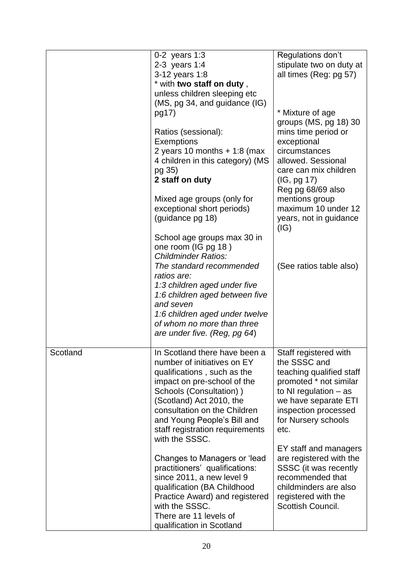|          | 0-2 years 1:3<br>2-3 years 1:4<br>3-12 years 1:8<br>* with two staff on duty,<br>unless children sleeping etc<br>(MS, pg 34, and guidance (IG)<br>pg17)<br>Ratios (sessional):<br>Exemptions<br>2 years 10 months $+1:8$ (max<br>4 children in this category) (MS<br>pg 35)<br>2 staff on duty<br>Mixed age groups (only for<br>exceptional short periods)<br>(guidance pg 18)<br>School age groups max 30 in<br>one room (IG pg 18)<br><b>Childminder Ratios:</b><br>The standard recommended<br>ratios are:<br>1:3 children aged under five<br>1:6 children aged between five | Regulations don't<br>stipulate two on duty at<br>all times (Reg: pg 57)<br>* Mixture of age<br>groups (MS, pg 18) 30<br>mins time period or<br>exceptional<br>circumstances<br>allowed. Sessional<br>care can mix children<br>(IG, pg 17)<br>Reg pg 68/69 also<br>mentions group<br>maximum 10 under 12<br>years, not in guidance<br>(IG)<br>(See ratios table also) |
|----------|---------------------------------------------------------------------------------------------------------------------------------------------------------------------------------------------------------------------------------------------------------------------------------------------------------------------------------------------------------------------------------------------------------------------------------------------------------------------------------------------------------------------------------------------------------------------------------|----------------------------------------------------------------------------------------------------------------------------------------------------------------------------------------------------------------------------------------------------------------------------------------------------------------------------------------------------------------------|
|          | and seven<br>1:6 children aged under twelve<br>of whom no more than three<br>are under five. (Reg, pg 64)                                                                                                                                                                                                                                                                                                                                                                                                                                                                       |                                                                                                                                                                                                                                                                                                                                                                      |
| Scotland | In Scotland there have been a<br>number of initiatives on EY<br>qualifications, such as the<br>impact on pre-school of the<br>Schools (Consultation))<br>(Scotland) Act 2010, the<br>consultation on the Children<br>and Young People's Bill and<br>staff registration requirements<br>with the SSSC.                                                                                                                                                                                                                                                                           | Staff registered with<br>the SSSC and<br>teaching qualified staff<br>promoted * not similar<br>to NI regulation $-$ as<br>we have separate ETI<br>inspection processed<br>for Nursery schools<br>etc.                                                                                                                                                                |
|          | Changes to Managers or 'lead<br>practitioners' qualifications:<br>since 2011, a new level 9<br>qualification (BA Childhood<br>Practice Award) and registered<br>with the SSSC.<br>There are 11 levels of<br>qualification in Scotland                                                                                                                                                                                                                                                                                                                                           | EY staff and managers<br>are registered with the<br>SSSC (it was recently<br>recommended that<br>childminders are also<br>registered with the<br>Scottish Council.                                                                                                                                                                                                   |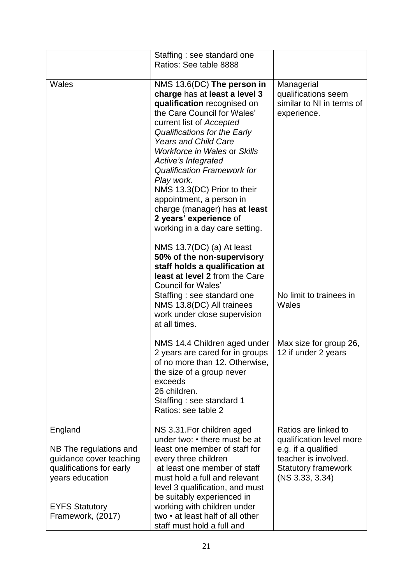|                                                                                                                                                           | Staffing: see standard one<br>Ratios: See table 8888                                                                                                                                                                                                                                                                                                                                                                                                                                           |                                                                                                                                                  |
|-----------------------------------------------------------------------------------------------------------------------------------------------------------|------------------------------------------------------------------------------------------------------------------------------------------------------------------------------------------------------------------------------------------------------------------------------------------------------------------------------------------------------------------------------------------------------------------------------------------------------------------------------------------------|--------------------------------------------------------------------------------------------------------------------------------------------------|
| Wales                                                                                                                                                     | NMS 13.6(DC) The person in<br>charge has at least a level 3<br>qualification recognised on<br>the Care Council for Wales'<br>current list of Accepted<br>Qualifications for the Early<br><b>Years and Child Care</b><br><b>Workforce in Wales or Skills</b><br>Active's Integrated<br><b>Qualification Framework for</b><br>Play work.<br>NMS 13.3(DC) Prior to their<br>appointment, a person in<br>charge (manager) has at least<br>2 years' experience of<br>working in a day care setting. | Managerial<br>qualifications seem<br>similar to NI in terms of<br>experience.                                                                    |
|                                                                                                                                                           | NMS 13.7(DC) (a) At least<br>50% of the non-supervisory<br>staff holds a qualification at<br>least at level 2 from the Care<br><b>Council for Wales'</b><br>Staffing : see standard one<br>NMS 13.8(DC) All trainees<br>work under close supervision<br>at all times.                                                                                                                                                                                                                          | No limit to trainees in<br>Wales                                                                                                                 |
|                                                                                                                                                           | NMS 14.4 Children aged under<br>2 years are cared for in groups<br>of no more than 12. Otherwise,<br>the size of a group never<br>exceeds<br>26 children.<br>Staffing: see standard 1<br>Ratios: see table 2                                                                                                                                                                                                                                                                                   | Max size for group 26,<br>12 if under 2 years                                                                                                    |
| England<br>NB The regulations and<br>guidance cover teaching<br>qualifications for early<br>years education<br><b>EYFS Statutory</b><br>Framework, (2017) | NS 3.31. For children aged<br>under two: • there must be at<br>least one member of staff for<br>every three children<br>at least one member of staff<br>must hold a full and relevant<br>level 3 qualification, and must<br>be suitably experienced in<br>working with children under<br>two • at least half of all other<br>staff must hold a full and                                                                                                                                        | Ratios are linked to<br>qualification level more<br>e.g. if a qualified<br>teacher is involved.<br><b>Statutory framework</b><br>(NS 3.33, 3.34) |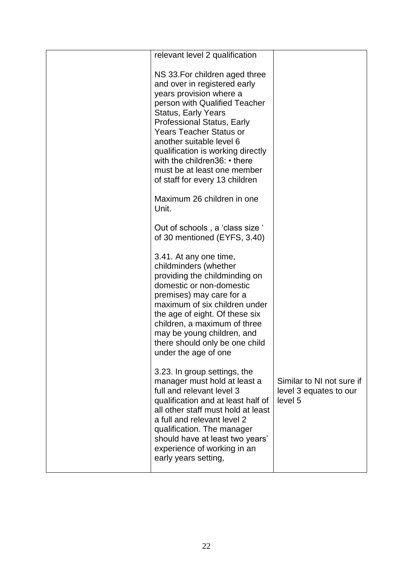| relevant level 2 qualification                                                                                                                                                                                                                                                                                                                                                             |                                                                |
|--------------------------------------------------------------------------------------------------------------------------------------------------------------------------------------------------------------------------------------------------------------------------------------------------------------------------------------------------------------------------------------------|----------------------------------------------------------------|
| NS 33. For children aged three<br>and over in registered early<br>years provision where a<br>person with Qualified Teacher<br><b>Status, Early Years</b><br>Professional Status, Early<br><b>Years Teacher Status or</b><br>another suitable level 6<br>qualification is working directly<br>with the children36: • there<br>must be at least one member<br>of staff for every 13 children |                                                                |
| Maximum 26 children in one<br>Unit.                                                                                                                                                                                                                                                                                                                                                        |                                                                |
| Out of schools, a 'class size '<br>of 30 mentioned (EYFS, 3.40)                                                                                                                                                                                                                                                                                                                            |                                                                |
| 3.41. At any one time,<br>childminders (whether<br>providing the childminding on<br>domestic or non-domestic<br>premises) may care for a<br>maximum of six children under<br>the age of eight. Of these six<br>children, a maximum of three<br>may be young children, and<br>there should only be one child<br>under the age of one                                                        |                                                                |
| 3.23. In group settings, the<br>manager must hold at least a<br>full and relevant level 3<br>qualification and at least half of<br>all other staff must hold at least<br>a full and relevant level 2<br>qualification. The manager<br>should have at least two years'<br>experience of working in an<br>early years setting,                                                               | Similar to NI not sure if<br>level 3 equates to our<br>level 5 |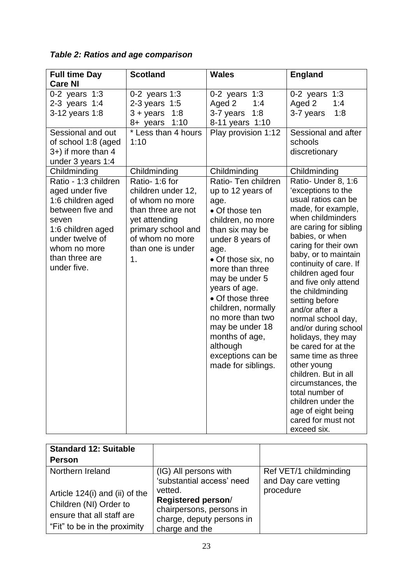| <b>Full time Day</b>                                                                                                                                                               | <b>Scotland</b>                                                                                                                                                   | <b>Wales</b>                                                                                                                                                                                                                                                                                                                                                                 | <b>England</b>                                                                                                                                                                                                                                                                                                                                                                                                                                                                                                                                                                                                             |
|------------------------------------------------------------------------------------------------------------------------------------------------------------------------------------|-------------------------------------------------------------------------------------------------------------------------------------------------------------------|------------------------------------------------------------------------------------------------------------------------------------------------------------------------------------------------------------------------------------------------------------------------------------------------------------------------------------------------------------------------------|----------------------------------------------------------------------------------------------------------------------------------------------------------------------------------------------------------------------------------------------------------------------------------------------------------------------------------------------------------------------------------------------------------------------------------------------------------------------------------------------------------------------------------------------------------------------------------------------------------------------------|
| <b>Care NI</b>                                                                                                                                                                     |                                                                                                                                                                   |                                                                                                                                                                                                                                                                                                                                                                              |                                                                                                                                                                                                                                                                                                                                                                                                                                                                                                                                                                                                                            |
| 0-2 years 1:3<br>2-3 years 1:4<br>3-12 years 1:8                                                                                                                                   | $0-2$ years 1:3<br>2-3 years 1:5<br>$3 + \gamma$ ears<br>1:8<br>1:10<br>8+ years                                                                                  | 0-2 years 1:3<br>Aged 2<br>1:4<br>3-7 years<br>1:8<br>8-11 years 1:10                                                                                                                                                                                                                                                                                                        | 1:3<br>0-2 years<br>Aged 2<br>1:4<br>1:8<br>3-7 years                                                                                                                                                                                                                                                                                                                                                                                                                                                                                                                                                                      |
| Sessional and out<br>of school 1:8 (aged<br>3+) if more than 4<br>under 3 years 1:4                                                                                                | * Less than 4 hours<br>1:10                                                                                                                                       | Play provision 1:12                                                                                                                                                                                                                                                                                                                                                          | Sessional and after<br>schools<br>discretionary                                                                                                                                                                                                                                                                                                                                                                                                                                                                                                                                                                            |
| Childminding                                                                                                                                                                       | Childminding                                                                                                                                                      | Childminding                                                                                                                                                                                                                                                                                                                                                                 | Childminding                                                                                                                                                                                                                                                                                                                                                                                                                                                                                                                                                                                                               |
| Ratio - 1:3 children<br>aged under five<br>1:6 children aged<br>between five and<br>seven<br>1:6 children aged<br>under twelve of<br>whom no more<br>than three are<br>under five. | Ratio-1:6 for<br>children under 12,<br>of whom no more<br>than three are not<br>yet attending<br>primary school and<br>of whom no more<br>than one is under<br>1. | Ratio- Ten children<br>up to 12 years of<br>age.<br>• Of those ten<br>children, no more<br>than six may be<br>under 8 years of<br>age.<br>• Of those six, no<br>more than three<br>may be under 5<br>years of age.<br>• Of those three<br>children, normally<br>no more than two<br>may be under 18<br>months of age,<br>although<br>exceptions can be<br>made for siblings. | Ratio- Under 8, 1:6<br>'exceptions to the<br>usual ratios can be<br>made, for example,<br>when childminders<br>are caring for sibling<br>babies, or when<br>caring for their own<br>baby, or to maintain<br>continuity of care. If<br>children aged four<br>and five only attend<br>the childminding<br>setting before<br>and/or after a<br>normal school day,<br>and/or during school<br>holidays, they may<br>be cared for at the<br>same time as three<br>other young<br>children. But in all<br>circumstances, the<br>total number of<br>children under the<br>age of eight being<br>cared for must not<br>exceed six. |

# *Table 2: Ratios and age comparison*

| <b>Standard 12: Suitable</b><br><b>Person</b>                                                                         |                                                                                                          |                                                |
|-----------------------------------------------------------------------------------------------------------------------|----------------------------------------------------------------------------------------------------------|------------------------------------------------|
| Northern Ireland                                                                                                      | (IG) All persons with<br>'substantial access' need                                                       | Ref VET/1 childminding<br>and Day care vetting |
| Article 124(i) and (ii) of the<br>Children (NI) Order to<br>ensure that all staff are<br>"Fit" to be in the proximity | vetted.<br>Registered person/<br>chairpersons, persons in<br>charge, deputy persons in<br>charge and the | procedure                                      |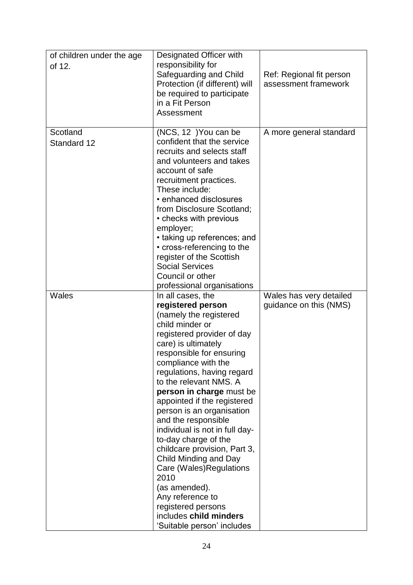| of children under the age<br>of 12. | Designated Officer with<br>responsibility for<br>Safeguarding and Child<br>Protection (if different) will<br>be required to participate<br>in a Fit Person<br>Assessment                                                                                                                                                                                                                                                                                                                                                                                                                                                                     | Ref: Regional fit person<br>assessment framework  |
|-------------------------------------|----------------------------------------------------------------------------------------------------------------------------------------------------------------------------------------------------------------------------------------------------------------------------------------------------------------------------------------------------------------------------------------------------------------------------------------------------------------------------------------------------------------------------------------------------------------------------------------------------------------------------------------------|---------------------------------------------------|
| Scotland<br>Standard 12             | (NCS, 12) You can be<br>confident that the service<br>recruits and selects staff<br>and volunteers and takes<br>account of safe<br>recruitment practices.<br>These include:<br>• enhanced disclosures<br>from Disclosure Scotland;<br>• checks with previous<br>employer;<br>• taking up references; and<br>• cross-referencing to the<br>register of the Scottish<br><b>Social Services</b><br>Council or other<br>professional organisations                                                                                                                                                                                               | A more general standard                           |
| Wales                               | In all cases, the<br>registered person<br>(namely the registered<br>child minder or<br>registered provider of day<br>care) is ultimately<br>responsible for ensuring<br>compliance with the<br>regulations, having regard<br>to the relevant NMS. A<br>person in charge must be<br>appointed if the registered<br>person is an organisation<br>and the responsible<br>individual is not in full day-<br>to-day charge of the<br>childcare provision, Part 3,<br>Child Minding and Day<br>Care (Wales) Regulations<br>2010<br>(as amended).<br>Any reference to<br>registered persons<br>includes child minders<br>'Suitable person' includes | Wales has very detailed<br>guidance on this (NMS) |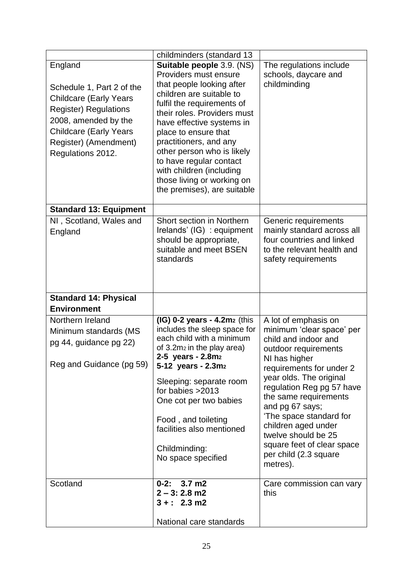|                                                                                                                                                                                                              | childminders (standard 13                                                                                                                                                                                                                                                                                                                                                                                 |                                                                                                                                                                                                                                                                                                                                                           |
|--------------------------------------------------------------------------------------------------------------------------------------------------------------------------------------------------------------|-----------------------------------------------------------------------------------------------------------------------------------------------------------------------------------------------------------------------------------------------------------------------------------------------------------------------------------------------------------------------------------------------------------|-----------------------------------------------------------------------------------------------------------------------------------------------------------------------------------------------------------------------------------------------------------------------------------------------------------------------------------------------------------|
| England<br>Schedule 1, Part 2 of the<br><b>Childcare (Early Years</b><br><b>Register) Regulations</b><br>2008, amended by the<br><b>Childcare (Early Years</b><br>Register) (Amendment)<br>Regulations 2012. | Suitable people 3.9. (NS)<br>Providers must ensure<br>that people looking after<br>children are suitable to<br>fulfil the requirements of<br>their roles. Providers must<br>have effective systems in<br>place to ensure that<br>practitioners, and any<br>other person who is likely<br>to have regular contact<br>with children (including<br>those living or working on<br>the premises), are suitable | The regulations include<br>schools, daycare and<br>childminding                                                                                                                                                                                                                                                                                           |
| <b>Standard 13: Equipment</b>                                                                                                                                                                                |                                                                                                                                                                                                                                                                                                                                                                                                           |                                                                                                                                                                                                                                                                                                                                                           |
| NI, Scotland, Wales and<br>England                                                                                                                                                                           | Short section in Northern<br>Irelands' (IG) : equipment<br>should be appropriate,<br>suitable and meet BSEN<br>standards                                                                                                                                                                                                                                                                                  | Generic requirements<br>mainly standard across all<br>four countries and linked<br>to the relevant health and<br>safety requirements                                                                                                                                                                                                                      |
| <b>Standard 14: Physical</b><br><b>Environment</b>                                                                                                                                                           |                                                                                                                                                                                                                                                                                                                                                                                                           |                                                                                                                                                                                                                                                                                                                                                           |
| Northern Ireland<br>Minimum standards (MS<br>pg 44, guidance pg 22)<br>Reg and Guidance (pg 59)                                                                                                              | $(IG)$ 0-2 years - 4.2m $2$ (this<br>includes the sleep space for<br>each child with a minimum<br>of 3.2m <sub>2</sub> in the play area)<br>2-5 years - 2.8m2<br>5-12 years - 2.3m2<br>Sleeping: separate room<br>for babies $>2013$<br>One cot per two babies<br>Food, and toileting<br>facilities also mentioned<br>Childminding:                                                                       | A lot of emphasis on<br>minimum 'clear space' per<br>child and indoor and<br>outdoor requirements<br>NI has higher<br>requirements for under 2<br>year olds. The original<br>regulation Reg pg 57 have<br>the same requirements<br>and pg 67 says;<br>'The space standard for<br>children aged under<br>twelve should be 25<br>square feet of clear space |
|                                                                                                                                                                                                              | No space specified                                                                                                                                                                                                                                                                                                                                                                                        | per child (2.3 square<br>metres).                                                                                                                                                                                                                                                                                                                         |
| Scotland                                                                                                                                                                                                     | $0 - 2:$<br>$3.7 \text{ m}$ 2<br>$2 - 3: 2.8$ m2<br>$3 + : 2.3 \text{ m2}$<br>National care standards                                                                                                                                                                                                                                                                                                     | Care commission can vary<br>this                                                                                                                                                                                                                                                                                                                          |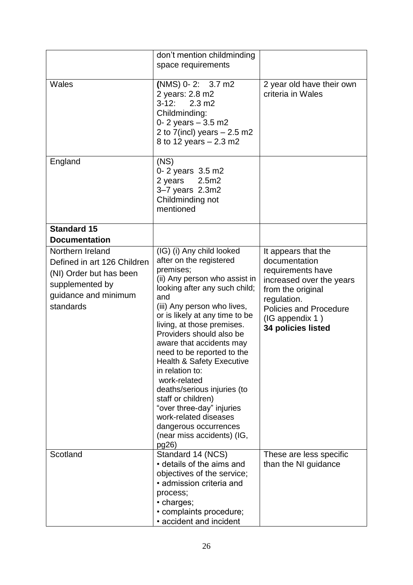|                                                                                                                                    | don't mention childminding<br>space requirements                                                                                                                                                                                                                                                                                                                                                                                                                                                                                                                           |                                                                                                                                                                                                     |
|------------------------------------------------------------------------------------------------------------------------------------|----------------------------------------------------------------------------------------------------------------------------------------------------------------------------------------------------------------------------------------------------------------------------------------------------------------------------------------------------------------------------------------------------------------------------------------------------------------------------------------------------------------------------------------------------------------------------|-----------------------------------------------------------------------------------------------------------------------------------------------------------------------------------------------------|
| Wales                                                                                                                              | $(NMS)$ 0-2: 3.7 m2<br>2 years: 2.8 m2<br>$3 - 12$ :<br>$2.3 \text{ m2}$<br>Childminding:<br>0-2 years $-3.5$ m2<br>2 to $7$ (incl) years $-2.5$ m2<br>8 to 12 years – 2.3 m2                                                                                                                                                                                                                                                                                                                                                                                              | 2 year old have their own<br>criteria in Wales                                                                                                                                                      |
| England                                                                                                                            | (NS)<br>0-2 years 3.5 m2<br>2 years $2.5m2$<br>3-7 years 2.3m2<br>Childminding not<br>mentioned                                                                                                                                                                                                                                                                                                                                                                                                                                                                            |                                                                                                                                                                                                     |
| <b>Standard 15</b><br><b>Documentation</b>                                                                                         |                                                                                                                                                                                                                                                                                                                                                                                                                                                                                                                                                                            |                                                                                                                                                                                                     |
| Northern Ireland<br>Defined in art 126 Children<br>(NI) Order but has been<br>supplemented by<br>guidance and minimum<br>standards | (IG) (i) Any child looked<br>after on the registered<br>premises;<br>(ii) Any person who assist in<br>looking after any such child;<br>and<br>(iii) Any person who lives,<br>or is likely at any time to be<br>living, at those premises.<br>Providers should also be<br>aware that accidents may<br>need to be reported to the<br>Health & Safety Executive<br>in relation to:<br>work-related<br>deaths/serious injuries (to<br>staff or children)<br>"over three-day" injuries<br>work-related diseases<br>dangerous occurrences<br>(near miss accidents) (IG,<br>pg26) | It appears that the<br>documentation<br>requirements have<br>increased over the years<br>from the original<br>regulation.<br><b>Policies and Procedure</b><br>(IG appendix 1)<br>34 policies listed |
| Scotland                                                                                                                           | Standard 14 (NCS)<br>• details of the aims and<br>objectives of the service;<br>• admission criteria and<br>process;<br>• charges;<br>• complaints procedure;<br>• accident and incident                                                                                                                                                                                                                                                                                                                                                                                   | These are less specific<br>than the NI guidance                                                                                                                                                     |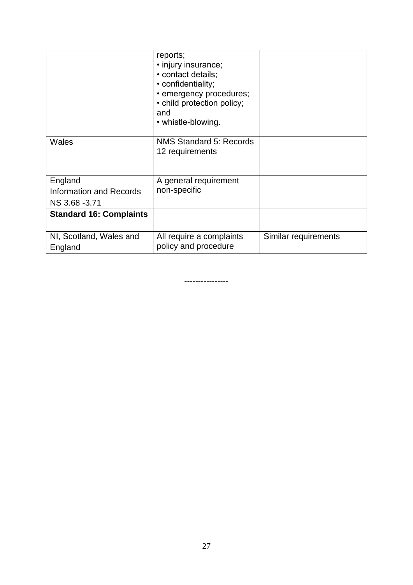|                                                      | reports;<br>• injury insurance;<br>• contact details;<br>• confidentiality;<br>• emergency procedures;<br>• child protection policy;<br>and<br>• whistle-blowing. |                      |
|------------------------------------------------------|-------------------------------------------------------------------------------------------------------------------------------------------------------------------|----------------------|
| <b>Wales</b>                                         | <b>NMS Standard 5: Records</b><br>12 requirements                                                                                                                 |                      |
| England<br>Information and Records<br>NS 3.68 - 3.71 | A general requirement<br>non-specific                                                                                                                             |                      |
| <b>Standard 16: Complaints</b>                       |                                                                                                                                                                   |                      |
| NI, Scotland, Wales and<br>England                   | All require a complaints<br>policy and procedure                                                                                                                  | Similar requirements |

----------------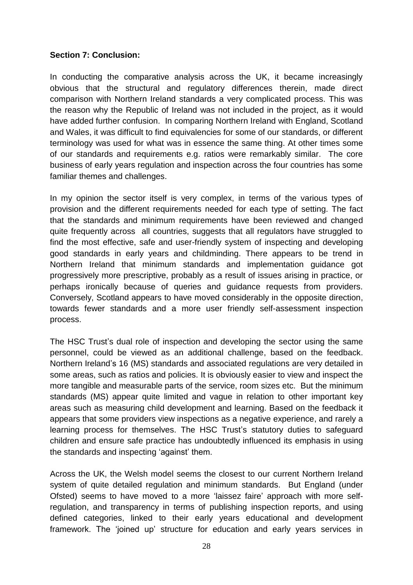### **Section 7: Conclusion:**

In conducting the comparative analysis across the UK, it became increasingly obvious that the structural and regulatory differences therein, made direct comparison with Northern Ireland standards a very complicated process. This was the reason why the Republic of Ireland was not included in the project, as it would have added further confusion. In comparing Northern Ireland with England, Scotland and Wales, it was difficult to find equivalencies for some of our standards, or different terminology was used for what was in essence the same thing. At other times some of our standards and requirements e.g. ratios were remarkably similar. The core business of early years regulation and inspection across the four countries has some familiar themes and challenges.

In my opinion the sector itself is very complex, in terms of the various types of provision and the different requirements needed for each type of setting. The fact that the standards and minimum requirements have been reviewed and changed quite frequently across all countries, suggests that all regulators have struggled to find the most effective, safe and user-friendly system of inspecting and developing good standards in early years and childminding. There appears to be trend in Northern Ireland that minimum standards and implementation guidance got progressively more prescriptive, probably as a result of issues arising in practice, or perhaps ironically because of queries and guidance requests from providers. Conversely, Scotland appears to have moved considerably in the opposite direction, towards fewer standards and a more user friendly self-assessment inspection process.

The HSC Trust's dual role of inspection and developing the sector using the same personnel, could be viewed as an additional challenge, based on the feedback. Northern Ireland's 16 (MS) standards and associated regulations are very detailed in some areas, such as ratios and policies. It is obviously easier to view and inspect the more tangible and measurable parts of the service, room sizes etc. But the minimum standards (MS) appear quite limited and vague in relation to other important key areas such as measuring child development and learning. Based on the feedback it appears that some providers view inspections as a negative experience, and rarely a learning process for themselves. The HSC Trust's statutory duties to safeguard children and ensure safe practice has undoubtedly influenced its emphasis in using the standards and inspecting 'against' them.

Across the UK, the Welsh model seems the closest to our current Northern Ireland system of quite detailed regulation and minimum standards. But England (under Ofsted) seems to have moved to a more 'laissez faire' approach with more selfregulation, and transparency in terms of publishing inspection reports, and using defined categories, linked to their early years educational and development framework. The 'joined up' structure for education and early years services in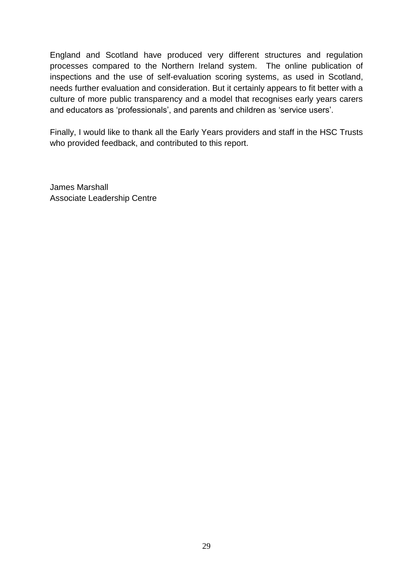England and Scotland have produced very different structures and regulation processes compared to the Northern Ireland system. The online publication of inspections and the use of self-evaluation scoring systems, as used in Scotland, needs further evaluation and consideration. But it certainly appears to fit better with a culture of more public transparency and a model that recognises early years carers and educators as 'professionals', and parents and children as 'service users'.

Finally, I would like to thank all the Early Years providers and staff in the HSC Trusts who provided feedback, and contributed to this report.

James Marshall Associate Leadership Centre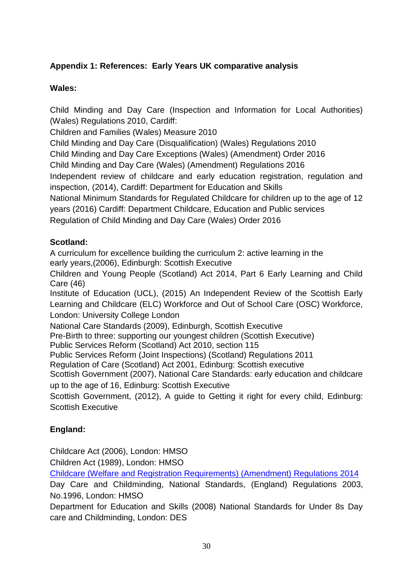# **Appendix 1: References: Early Years UK comparative analysis**

## **Wales:**

Child Minding and Day Care (Inspection and Information for Local Authorities) (Wales) Regulations 2010, Cardiff:

Children and Families (Wales) Measure 2010

Child Minding and Day Care (Disqualification) (Wales) Regulations 2010

Child Minding and Day Care Exceptions (Wales) (Amendment) Order 2016

Child Minding and Day Care (Wales) (Amendment) Regulations 2016

Independent review of childcare and early education registration, regulation and inspection, (2014), Cardiff: Department for Education and Skills

National Minimum Standards for Regulated Childcare for children up to the age of 12 years (2016) Cardiff: Department Childcare, Education and Public services

Regulation of Child Minding and Day Care (Wales) Order 2016

# **Scotland:**

A curriculum for excellence building the curriculum 2: active learning in the early years,(2006), Edinburgh: Scottish Executive

Children and Young People (Scotland) Act 2014, Part 6 Early Learning and Child Care (46)

Institute of Education (UCL), (2015) An Independent Review of the Scottish Early Learning and Childcare (ELC) Workforce and Out of School Care (OSC) Workforce, London: University College London

National Care Standards (2009), Edinburgh, Scottish Executive

Pre-Birth to three: supporting our youngest children (Scottish Executive)

Public Services Reform (Scotland) Act 2010, section 115

Public Services Reform (Joint Inspections) (Scotland) Regulations 2011

Regulation of Care (Scotland) Act 2001, Edinburg: Scottish executive

Scottish Government (2007), National Care Standards: early education and childcare up to the age of 16, Edinburg: Scottish Executive

Scottish Government, (2012), A guide to Getting it right for every child, Edinburg: Scottish Executive

# **England:**

Childcare Act (2006), London: HMSO

Children Act (1989), London: HMSO

[Childcare \(Welfare and Registration Requirements\) \(Amendment\) Regulations 2014](http://www.legislation.gov.uk/uksi/2014/912/regulation/5/made)

Day Care and Childminding, National Standards, (England) Regulations 2003, No.1996, London: HMSO

Department for Education and Skills (2008) National Standards for Under 8s Day care and Childminding, London: DES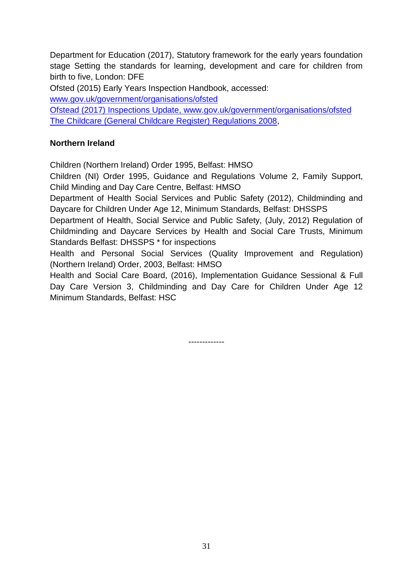Department for Education (2017), Statutory framework for the early years foundation stage Setting the standards for learning, development and care for children from birth to five, London: DFE

Ofsted (2015) Early Years Inspection Handbook, accessed:

[www.gov.uk/government/organisations/ofsted](http://www.gov.uk/government/organisations/ofsted)

Ofstead (2017) Inspections Update, [www.gov.uk/government/organisations/ofsted](http://www.gov.uk/government/organisations/ofsted) [The Childcare \(General Childcare Register\) Regulations 2008,](http://www.legislation.gov.uk/uksi/2012/1699/contents/made)

## **Northern Ireland**

Children (Northern Ireland) Order 1995, Belfast: HMSO

Children (NI) Order 1995, Guidance and Regulations Volume 2, Family Support, Child Minding and Day Care Centre, Belfast: HMSO

Department of Health Social Services and Public Safety (2012), Childminding and Daycare for Children Under Age 12, Minimum Standards, Belfast: DHSSPS

Department of Health, Social Service and Public Safety, (July, 2012) Regulation of Childminding and Daycare Services by Health and Social Care Trusts, Minimum Standards Belfast: DHSSPS \* for inspections

Health and Personal Social Services (Quality Improvement and Regulation) (Northern Ireland) Order, 2003, Belfast: HMSO

Health and Social Care Board, (2016), Implementation Guidance Sessional & Full Day Care Version 3, Childminding and Day Care for Children Under Age 12 Minimum Standards, Belfast: HSC

-------------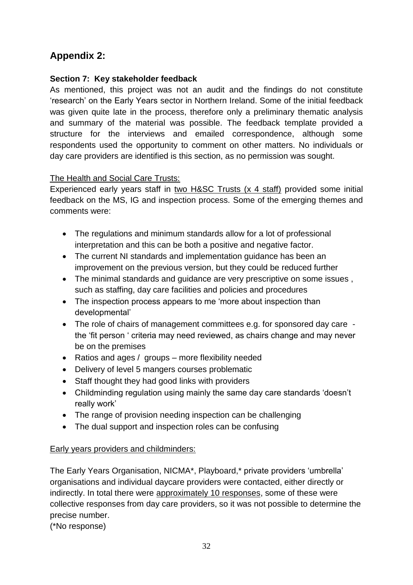# **Appendix 2:**

### **Section 7: Key stakeholder feedback**

As mentioned, this project was not an audit and the findings do not constitute 'research' on the Early Years sector in Northern Ireland. Some of the initial feedback was given quite late in the process, therefore only a preliminary thematic analysis and summary of the material was possible. The feedback template provided a structure for the interviews and emailed correspondence, although some respondents used the opportunity to comment on other matters. No individuals or day care providers are identified is this section, as no permission was sought.

## The Health and Social Care Trusts:

Experienced early years staff in two H&SC Trusts (x 4 staff) provided some initial feedback on the MS, IG and inspection process. Some of the emerging themes and comments were:

- The regulations and minimum standards allow for a lot of professional interpretation and this can be both a positive and negative factor.
- The current NI standards and implementation guidance has been an improvement on the previous version, but they could be reduced further
- The minimal standards and guidance are very prescriptive on some issues , such as staffing, day care facilities and policies and procedures
- The inspection process appears to me 'more about inspection than developmental'
- The role of chairs of management committees e.g. for sponsored day care the 'fit person ' criteria may need reviewed, as chairs change and may never be on the premises
- Ratios and ages / groups more flexibility needed
- Delivery of level 5 mangers courses problematic
- Staff thought they had good links with providers
- Childminding regulation using mainly the same day care standards 'doesn't really work'
- The range of provision needing inspection can be challenging
- The dual support and inspection roles can be confusing

### Early years providers and childminders:

The Early Years Organisation, NICMA\*, Playboard,\* private providers 'umbrella' organisations and individual daycare providers were contacted, either directly or indirectly. In total there were approximately 10 responses, some of these were collective responses from day care providers, so it was not possible to determine the precise number.

(\*No response)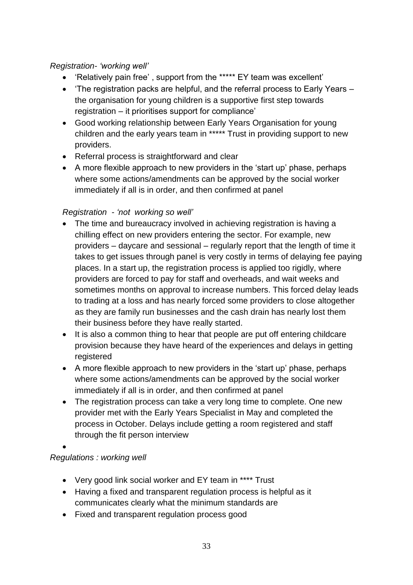## *Registration- 'working well'*

- 'Relatively pain free' , support from the \*\*\*\*\* EY team was excellent'
- 'The registration packs are helpful, and the referral process to Early Years the organisation for young children is a supportive first step towards registration – it prioritises support for compliance'
- Good working relationship between Early Years Organisation for young children and the early years team in \*\*\*\*\* Trust in providing support to new providers.
- Referral process is straightforward and clear
- A more flexible approach to new providers in the 'start up' phase, perhaps where some actions/amendments can be approved by the social worker immediately if all is in order, and then confirmed at panel

## *Registration - 'not working so well'*

- The time and bureaucracy involved in achieving registration is having a chilling effect on new providers entering the sector. For example, new providers – daycare and sessional – regularly report that the length of time it takes to get issues through panel is very costly in terms of delaying fee paying places. In a start up, the registration process is applied too rigidly, where providers are forced to pay for staff and overheads, and wait weeks and sometimes months on approval to increase numbers. This forced delay leads to trading at a loss and has nearly forced some providers to close altogether as they are family run businesses and the cash drain has nearly lost them their business before they have really started.
- It is also a common thing to hear that people are put off entering childcare provision because they have heard of the experiences and delays in getting registered
- A more flexible approach to new providers in the 'start up' phase, perhaps where some actions/amendments can be approved by the social worker immediately if all is in order, and then confirmed at panel
- The registration process can take a very long time to complete. One new provider met with the Early Years Specialist in May and completed the process in October. Delays include getting a room registered and staff through the fit person interview
- $\bullet$

# *Regulations : working well*

- Very good link social worker and EY team in \*\*\*\* Trust
- Having a fixed and transparent regulation process is helpful as it communicates clearly what the minimum standards are
- Fixed and transparent regulation process good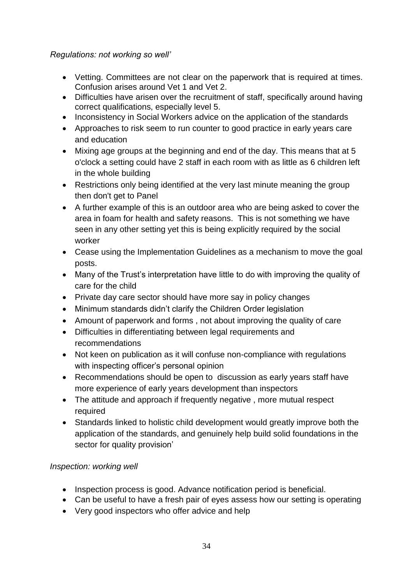### *Regulations: not working so well'*

- Vetting. Committees are not clear on the paperwork that is required at times. Confusion arises around Vet 1 and Vet 2.
- Difficulties have arisen over the recruitment of staff, specifically around having correct qualifications, especially level 5.
- Inconsistency in Social Workers advice on the application of the standards
- Approaches to risk seem to run counter to good practice in early years care and education
- Mixing age groups at the beginning and end of the day. This means that at 5 o'clock a setting could have 2 staff in each room with as little as 6 children left in the whole building
- Restrictions only being identified at the very last minute meaning the group then don't get to Panel
- A further example of this is an outdoor area who are being asked to cover the area in foam for health and safety reasons. This is not something we have seen in any other setting yet this is being explicitly required by the social worker
- Cease using the Implementation Guidelines as a mechanism to move the goal posts.
- Many of the Trust's interpretation have little to do with improving the quality of care for the child
- Private day care sector should have more say in policy changes
- Minimum standards didn't clarify the Children Order legislation
- Amount of paperwork and forms, not about improving the quality of care
- Difficulties in differentiating between legal requirements and recommendations
- Not keen on publication as it will confuse non-compliance with regulations with inspecting officer's personal opinion
- Recommendations should be open to discussion as early years staff have more experience of early years development than inspectors
- The attitude and approach if frequently negative, more mutual respect required
- Standards linked to holistic child development would greatly improve both the application of the standards, and genuinely help build solid foundations in the sector for quality provision'

### *Inspection: working well*

- Inspection process is good. Advance notification period is beneficial.
- Can be useful to have a fresh pair of eyes assess how our setting is operating
- Very good inspectors who offer advice and help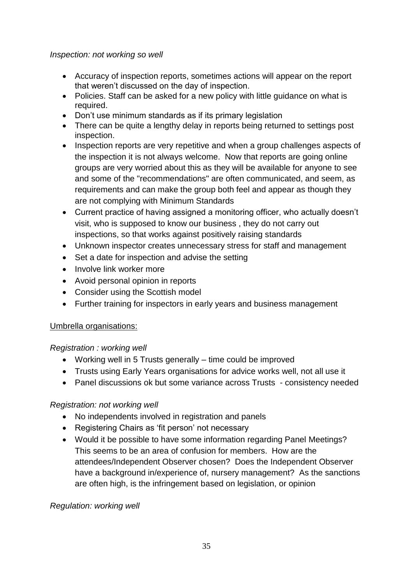### *Inspection: not working so well*

- Accuracy of inspection reports, sometimes actions will appear on the report that weren't discussed on the day of inspection.
- Policies. Staff can be asked for a new policy with little guidance on what is required.
- Don't use minimum standards as if its primary legislation
- There can be quite a lengthy delay in reports being returned to settings post inspection.
- Inspection reports are very repetitive and when a group challenges aspects of the inspection it is not always welcome. Now that reports are going online groups are very worried about this as they will be available for anyone to see and some of the "recommendations" are often communicated, and seem, as requirements and can make the group both feel and appear as though they are not complying with Minimum Standards
- Current practice of having assigned a monitoring officer, who actually doesn't visit, who is supposed to know our business , they do not carry out inspections, so that works against positively raising standards
- Unknown inspector creates unnecessary stress for staff and management
- Set a date for inspection and advise the setting
- Involve link worker more
- Avoid personal opinion in reports
- Consider using the Scottish model
- Further training for inspectors in early years and business management

### Umbrella organisations:

### *Registration : working well*

- Working well in 5 Trusts generally time could be improved
- Trusts using Early Years organisations for advice works well, not all use it
- Panel discussions ok but some variance across Trusts consistency needed

### *Registration: not working well*

- No independents involved in registration and panels
- Registering Chairs as 'fit person' not necessary
- Would it be possible to have some information regarding Panel Meetings? This seems to be an area of confusion for members. How are the attendees/Independent Observer chosen? Does the Independent Observer have a background in/experience of, nursery management? As the sanctions are often high, is the infringement based on legislation, or opinion

### *Regulation: working well*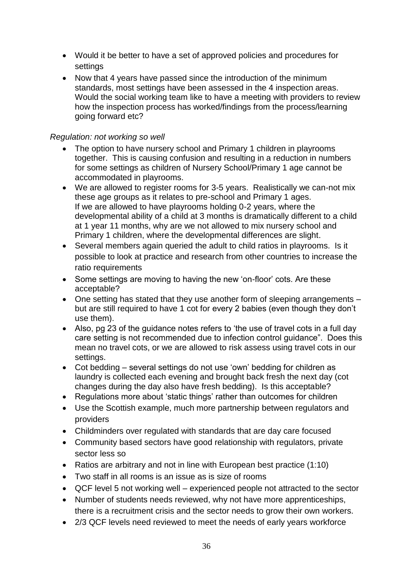- Would it be better to have a set of approved policies and procedures for settings
- Now that 4 years have passed since the introduction of the minimum standards, most settings have been assessed in the 4 inspection areas. Would the social working team like to have a meeting with providers to review how the inspection process has worked/findings from the process/learning going forward etc?

#### *Regulation: not working so well*

- The option to have nursery school and Primary 1 children in playrooms together. This is causing confusion and resulting in a reduction in numbers for some settings as children of Nursery School/Primary 1 age cannot be accommodated in playrooms.
- We are allowed to register rooms for 3-5 years. Realistically we can-not mix these age groups as it relates to pre-school and Primary 1 ages. If we are allowed to have playrooms holding 0-2 years, where the developmental ability of a child at 3 months is dramatically different to a child at 1 year 11 months, why are we not allowed to mix nursery school and Primary 1 children, where the developmental differences are slight.
- Several members again queried the adult to child ratios in playrooms. Is it possible to look at practice and research from other countries to increase the ratio requirements
- Some settings are moving to having the new 'on-floor' cots. Are these acceptable?
- One setting has stated that they use another form of sleeping arrangements but are still required to have 1 cot for every 2 babies (even though they don't use them).
- Also, pg 23 of the guidance notes refers to 'the use of travel cots in a full day care setting is not recommended due to infection control guidance". Does this mean no travel cots, or we are allowed to risk assess using travel cots in our settings.
- Cot bedding several settings do not use 'own' bedding for children as laundry is collected each evening and brought back fresh the next day (cot changes during the day also have fresh bedding). Is this acceptable?
- Regulations more about 'static things' rather than outcomes for children
- Use the Scottish example, much more partnership between regulators and providers
- Childminders over regulated with standards that are day care focused
- Community based sectors have good relationship with regulators, private sector less so
- Ratios are arbitrary and not in line with European best practice (1:10)
- Two staff in all rooms is an issue as is size of rooms
- QCF level 5 not working well experienced people not attracted to the sector
- Number of students needs reviewed, why not have more apprenticeships, there is a recruitment crisis and the sector needs to grow their own workers.
- 2/3 QCF levels need reviewed to meet the needs of early years workforce